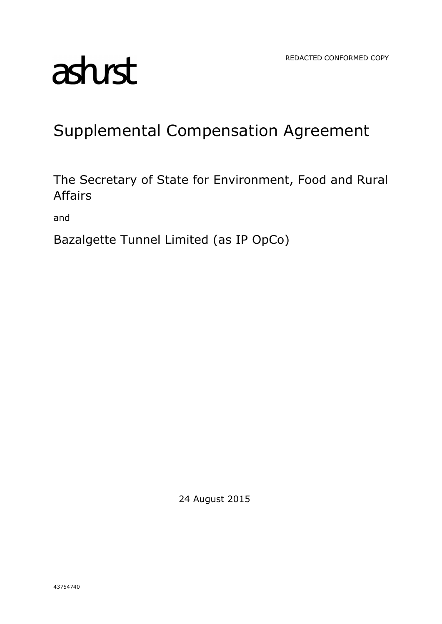# asturst

## Supplemental Compensation Agreement

The Secretary of State for Environment, Food and Rural Affairs

and

Bazalgette Tunnel Limited (as IP OpCo)

24 August 2015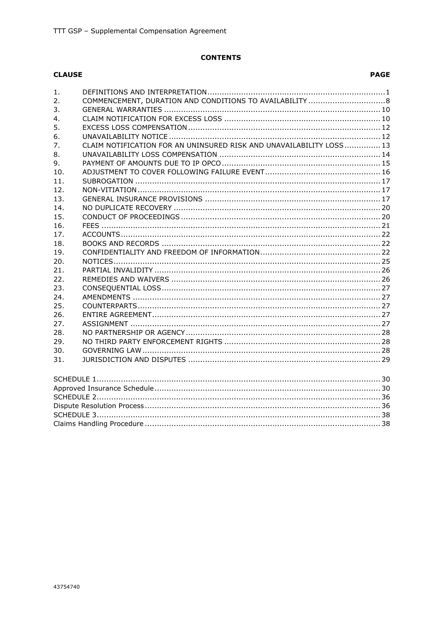#### **CONTENTS**

#### **CLAUSE**

#### **PAGE**

| 1.             |                                                                     |  |
|----------------|---------------------------------------------------------------------|--|
| 2 <sub>1</sub> |                                                                     |  |
| $\mathsf{R}$   |                                                                     |  |
| 4.             |                                                                     |  |
| 5.             |                                                                     |  |
| 6.             |                                                                     |  |
| 7.             | CLAIM NOTIFICATION FOR AN UNINSURED RISK AND UNAVAILABILITY LOSS 13 |  |
| 8.             |                                                                     |  |
| 9.             |                                                                     |  |
| 10.            |                                                                     |  |
| 11.            |                                                                     |  |
| 12.            |                                                                     |  |
| 13.            |                                                                     |  |
| 14.            |                                                                     |  |
| 15.            |                                                                     |  |
| 16.            |                                                                     |  |
| 17.            |                                                                     |  |
| 18.            |                                                                     |  |
| 19.            |                                                                     |  |
| 20.            |                                                                     |  |
| 21.            |                                                                     |  |
| 22.            |                                                                     |  |
| 23.            |                                                                     |  |
| 24.            |                                                                     |  |
| 25.            |                                                                     |  |
| 26.            |                                                                     |  |
| 27.            |                                                                     |  |
| 28.            |                                                                     |  |
| 29.            |                                                                     |  |
| 30.            |                                                                     |  |
| 31.            |                                                                     |  |
|                |                                                                     |  |
|                |                                                                     |  |
|                |                                                                     |  |
|                |                                                                     |  |
|                |                                                                     |  |
|                |                                                                     |  |
|                |                                                                     |  |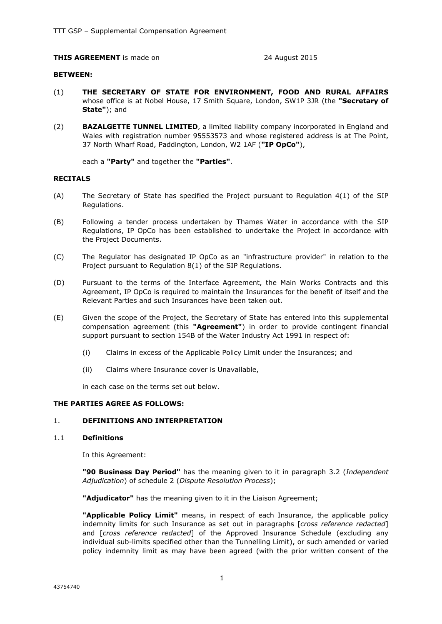#### **THIS AGREEMENT** is made on 24 August 2015

#### **BETWEEN:**

- (1) **THE SECRETARY OF STATE FOR ENVIRONMENT, FOOD AND RURAL AFFAIRS** whose office is at Nobel House, 17 Smith Square, London, SW1P 3JR (the **"Secretary of State"**); and
- (2) **BAZALGETTE TUNNEL LIMITED**, a limited liability company incorporated in England and Wales with registration number 95553573 and whose registered address is at The Point, 37 North Wharf Road, Paddington, London, W2 1AF (**"IP OpCo"**),

each a **"Party"** and together the **"Parties"**.

#### **RECITALS**

- (A) The Secretary of State has specified the Project pursuant to Regulation 4(1) of the SIP Regulations.
- (B) Following a tender process undertaken by Thames Water in accordance with the SIP Regulations, IP OpCo has been established to undertake the Project in accordance with the Project Documents.
- (C) The Regulator has designated IP OpCo as an "infrastructure provider" in relation to the Project pursuant to Regulation 8(1) of the SIP Regulations.
- (D) Pursuant to the terms of the Interface Agreement, the Main Works Contracts and this Agreement, IP OpCo is required to maintain the Insurances for the benefit of itself and the Relevant Parties and such Insurances have been taken out.
- (E) Given the scope of the Project, the Secretary of State has entered into this supplemental compensation agreement (this **"Agreement"**) in order to provide contingent financial support pursuant to section 154B of the Water Industry Act 1991 in respect of:
	- (i) Claims in excess of the Applicable Policy Limit under the Insurances; and
	- (ii) Claims where Insurance cover is Unavailable,

in each case on the terms set out below.

#### **THE PARTIES AGREE AS FOLLOWS:**

#### 1. **DEFINITIONS AND INTERPRETATION**

#### 1.1 **Definitions**

In this Agreement:

**"90 Business Day Period"** has the meaning given to it in paragraph 3.2 (*Independent Adjudication*) of schedule 2 (*Dispute Resolution Process*);

**"Adjudicator"** has the meaning given to it in the Liaison Agreement;

**"Applicable Policy Limit"** means, in respect of each Insurance, the applicable policy indemnity limits for such Insurance as set out in paragraphs [*cross reference redacted*] and [*cross reference redacted*] of the Approved Insurance Schedule (excluding any individual sub-limits specified other than the Tunnelling Limit), or such amended or varied policy indemnity limit as may have been agreed (with the prior written consent of the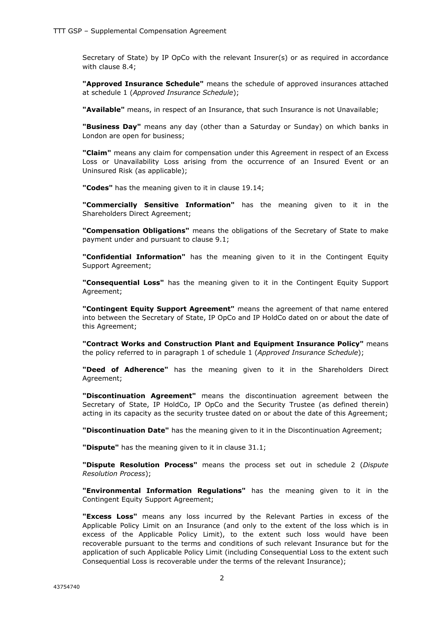Secretary of State) by IP OpCo with the relevant Insurer(s) or as required in accordance with clause 8.4;

**"Approved Insurance Schedule"** means the schedule of approved insurances attached at schedule 1 (*Approved Insurance Schedule*);

**"Available"** means, in respect of an Insurance, that such Insurance is not Unavailable;

**"Business Day"** means any day (other than a Saturday or Sunday) on which banks in London are open for business;

**"Claim"** means any claim for compensation under this Agreement in respect of an Excess Loss or Unavailability Loss arising from the occurrence of an Insured Event or an Uninsured Risk (as applicable);

**"Codes"** has the meaning given to it in clause 19.14;

**"Commercially Sensitive Information"** has the meaning given to it in the Shareholders Direct Agreement;

**"Compensation Obligations"** means the obligations of the Secretary of State to make payment under and pursuant to clause 9.1;

**"Confidential Information"** has the meaning given to it in the Contingent Equity Support Agreement;

**"Consequential Loss"** has the meaning given to it in the Contingent Equity Support Agreement;

**"Contingent Equity Support Agreement"** means the agreement of that name entered into between the Secretary of State, IP OpCo and IP HoldCo dated on or about the date of this Agreement;

**"Contract Works and Construction Plant and Equipment Insurance Policy"** means the policy referred to in paragraph 1 of schedule 1 (*Approved Insurance Schedule*);

**"Deed of Adherence"** has the meaning given to it in the Shareholders Direct Agreement;

**"Discontinuation Agreement"** means the discontinuation agreement between the Secretary of State, IP HoldCo, IP OpCo and the Security Trustee (as defined therein) acting in its capacity as the security trustee dated on or about the date of this Agreement;

**"Discontinuation Date"** has the meaning given to it in the Discontinuation Agreement;

**"Dispute"** has the meaning given to it in clause 31.1;

**"Dispute Resolution Process"** means the process set out in schedule 2 (*Dispute Resolution Process*);

**"Environmental Information Regulations"** has the meaning given to it in the Contingent Equity Support Agreement;

**"Excess Loss"** means any loss incurred by the Relevant Parties in excess of the Applicable Policy Limit on an Insurance (and only to the extent of the loss which is in excess of the Applicable Policy Limit), to the extent such loss would have been recoverable pursuant to the terms and conditions of such relevant Insurance but for the application of such Applicable Policy Limit (including Consequential Loss to the extent such Consequential Loss is recoverable under the terms of the relevant Insurance);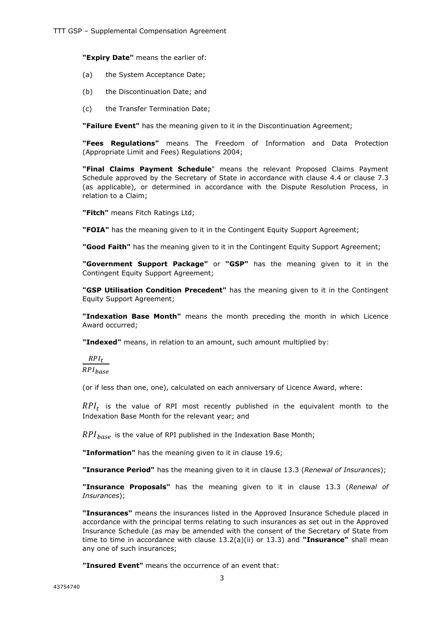**"Expiry Date"** means the earlier of:

- (a) the System Acceptance Date;
- (b) the Discontinuation Date; and
- (c) the Transfer Termination Date;

**"Failure Event"** has the meaning given to it in the Discontinuation Agreement;

**"Fees Regulations"** means The Freedom of Information and Data Protection (Appropriate Limit and Fees) Regulations 2004;

**"Final Claims Payment Schedule**" means the relevant Proposed Claims Payment Schedule approved by the Secretary of State in accordance with clause 4.4 or clause 7.3 (as applicable), or determined in accordance with the Dispute Resolution Process, in relation to a Claim;

**"Fitch"** means Fitch Ratings Ltd;

**"FOIA"** has the meaning given to it in the Contingent Equity Support Agreement;

**"Good Faith"** has the meaning given to it in the Contingent Equity Support Agreement;

**"Government Support Package"** or **"GSP"** has the meaning given to it in the Contingent Equity Support Agreement;

**"GSP Utilisation Condition Precedent"** has the meaning given to it in the Contingent Equity Support Agreement;

**"Indexation Base Month"** means the month preceding the month in which Licence Award occurred;

**"Indexed"** means, in relation to an amount, such amount multiplied by:

 $RPI_t$  $RPI_{base}$ 

(or if less than one, one), calculated on each anniversary of Licence Award, where:

 $RPI_t$  is the value of RPI most recently published in the equivalent month to the Indexation Base Month for the relevant year; and

 $RPI_{base}$  is the value of RPI published in the Indexation Base Month;

**"Information"** has the meaning given to it in clause 19.6;

**"Insurance Period"** has the meaning given to it in clause 13.3 (*Renewal of Insurances*);

**"Insurance Proposals"** has the meaning given to it in clause 13.3 (*Renewal of Insurances*);

**"Insurances"** means the insurances listed in the Approved Insurance Schedule placed in accordance with the principal terms relating to such insurances as set out in the Approved Insurance Schedule (as may be amended with the consent of the Secretary of State from time to time in accordance with clause 13.2(a)(ii) or 13.3) and **"Insurance"** shall mean any one of such insurances;

**"Insured Event"** means the occurrence of an event that: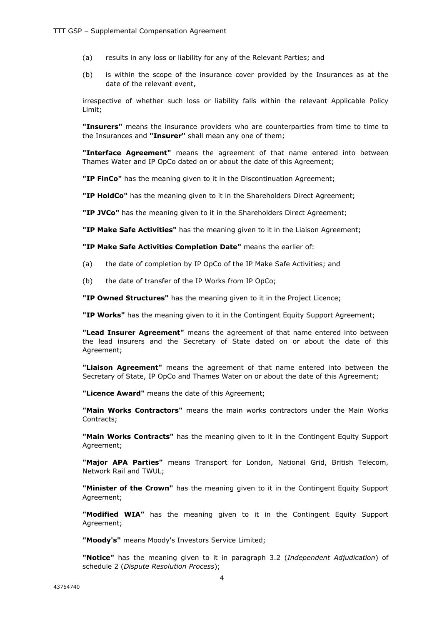- (a) results in any loss or liability for any of the Relevant Parties; and
- (b) is within the scope of the insurance cover provided by the Insurances as at the date of the relevant event,

irrespective of whether such loss or liability falls within the relevant Applicable Policy Limit;

**"Insurers"** means the insurance providers who are counterparties from time to time to the Insurances and **"Insurer"** shall mean any one of them;

**"Interface Agreement"** means the agreement of that name entered into between Thames Water and IP OpCo dated on or about the date of this Agreement;

**"IP FinCo"** has the meaning given to it in the Discontinuation Agreement;

**"IP HoldCo"** has the meaning given to it in the Shareholders Direct Agreement;

**"IP JVCo"** has the meaning given to it in the Shareholders Direct Agreement;

**"IP Make Safe Activities"** has the meaning given to it in the Liaison Agreement;

**"IP Make Safe Activities Completion Date"** means the earlier of:

- (a) the date of completion by IP OpCo of the IP Make Safe Activities; and
- (b) the date of transfer of the IP Works from IP OpCo;

**"IP Owned Structures"** has the meaning given to it in the Project Licence;

**"IP Works"** has the meaning given to it in the Contingent Equity Support Agreement;

**"Lead Insurer Agreement"** means the agreement of that name entered into between the lead insurers and the Secretary of State dated on or about the date of this Agreement;

**"Liaison Agreement"** means the agreement of that name entered into between the Secretary of State, IP OpCo and Thames Water on or about the date of this Agreement;

**"Licence Award"** means the date of this Agreement;

**"Main Works Contractors"** means the main works contractors under the Main Works Contracts;

**"Main Works Contracts"** has the meaning given to it in the Contingent Equity Support Agreement;

**"Major APA Parties"** means Transport for London, National Grid, British Telecom, Network Rail and TWUL;

**"Minister of the Crown"** has the meaning given to it in the Contingent Equity Support Agreement;

**"Modified WIA"** has the meaning given to it in the Contingent Equity Support Agreement;

**"Moody's"** means Moody's Investors Service Limited;

**"Notice"** has the meaning given to it in paragraph 3.2 (*Independent Adjudication*) of schedule 2 (*Dispute Resolution Process*);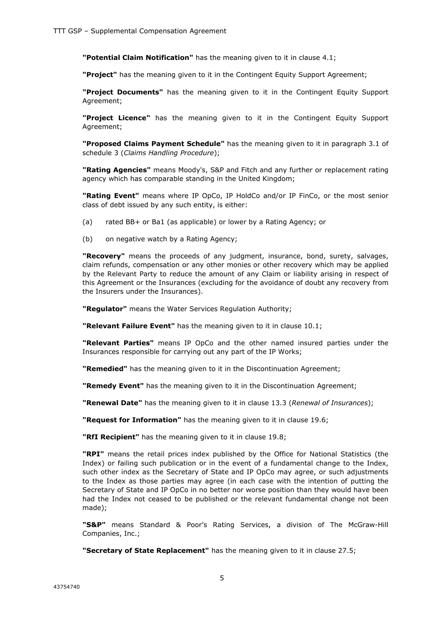**"Potential Claim Notification"** has the meaning given to it in clause 4.1;

**"Project"** has the meaning given to it in the Contingent Equity Support Agreement;

**"Project Documents"** has the meaning given to it in the Contingent Equity Support Agreement;

**"Project Licence"** has the meaning given to it in the Contingent Equity Support Agreement;

**"Proposed Claims Payment Schedule"** has the meaning given to it in paragraph 3.1 of schedule 3 (*Claims Handling Procedure*);

**"Rating Agencies"** means Moody's, S&P and Fitch and any further or replacement rating agency which has comparable standing in the United Kingdom;

**"Rating Event"** means where IP OpCo, IP HoldCo and/or IP FinCo, or the most senior class of debt issued by any such entity, is either:

- (a) rated BB+ or Ba1 (as applicable) or lower by a Rating Agency; or
- (b) on negative watch by a Rating Agency;

**"Recovery"** means the proceeds of any judgment, insurance, bond, surety, salvages, claim refunds, compensation or any other monies or other recovery which may be applied by the Relevant Party to reduce the amount of any Claim or liability arising in respect of this Agreement or the Insurances (excluding for the avoidance of doubt any recovery from the Insurers under the Insurances).

**"Regulator"** means the Water Services Regulation Authority;

**"Relevant Failure Event"** has the meaning given to it in clause 10.1;

**"Relevant Parties"** means IP OpCo and the other named insured parties under the Insurances responsible for carrying out any part of the IP Works;

**"Remedied"** has the meaning given to it in the Discontinuation Agreement;

**"Remedy Event"** has the meaning given to it in the Discontinuation Agreement;

**"Renewal Date"** has the meaning given to it in clause 13.3 (*Renewal of Insurances*);

**"Request for Information"** has the meaning given to it in clause 19.6;

**"RfI Recipient"** has the meaning given to it in clause 19.8;

**"RPI"** means the retail prices index published by the Office for National Statistics (the Index) or failing such publication or in the event of a fundamental change to the Index, such other index as the Secretary of State and IP OpCo may agree, or such adjustments to the Index as those parties may agree (in each case with the intention of putting the Secretary of State and IP OpCo in no better nor worse position than they would have been had the Index not ceased to be published or the relevant fundamental change not been made);

**"S&P"** means Standard & Poor's Rating Services, a division of The McGraw-Hill Companies, Inc.;

**"Secretary of State Replacement"** has the meaning given to it in clause 27.5;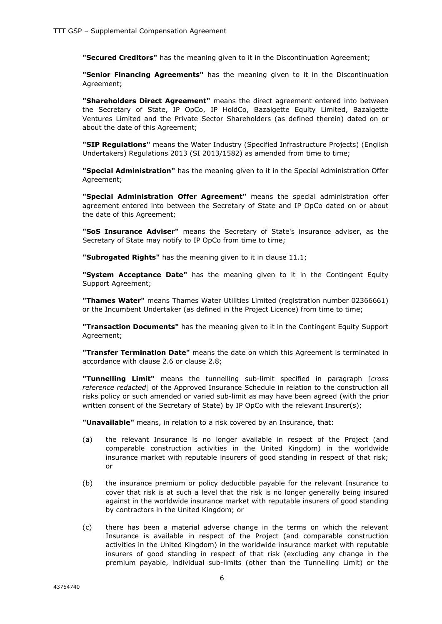**"Secured Creditors"** has the meaning given to it in the Discontinuation Agreement;

**"Senior Financing Agreements"** has the meaning given to it in the Discontinuation Agreement;

**"Shareholders Direct Agreement"** means the direct agreement entered into between the Secretary of State, IP OpCo, IP HoldCo, Bazalgette Equity Limited, Bazalgette Ventures Limited and the Private Sector Shareholders (as defined therein) dated on or about the date of this Agreement;

**"SIP Regulations"** means the Water Industry (Specified Infrastructure Projects) (English Undertakers) Regulations 2013 (SI 2013/1582) as amended from time to time;

**"Special Administration"** has the meaning given to it in the Special Administration Offer Agreement;

**"Special Administration Offer Agreement"** means the special administration offer agreement entered into between the Secretary of State and IP OpCo dated on or about the date of this Agreement;

**"SoS Insurance Adviser"** means the Secretary of State's insurance adviser, as the Secretary of State may notify to IP OpCo from time to time;

**"Subrogated Rights"** has the meaning given to it in clause 11.1;

**"System Acceptance Date"** has the meaning given to it in the Contingent Equity Support Agreement;

**"Thames Water"** means Thames Water Utilities Limited (registration number 02366661) or the Incumbent Undertaker (as defined in the Project Licence) from time to time;

**"Transaction Documents"** has the meaning given to it in the Contingent Equity Support Agreement;

**"Transfer Termination Date"** means the date on which this Agreement is terminated in accordance with clause 2.6 or clause 2.8;

**"Tunnelling Limit"** means the tunnelling sub-limit specified in paragraph [*cross reference redacted*] of the Approved Insurance Schedule in relation to the construction all risks policy or such amended or varied sub-limit as may have been agreed (with the prior written consent of the Secretary of State) by IP OpCo with the relevant Insurer(s);

**"Unavailable"** means, in relation to a risk covered by an Insurance, that:

- (a) the relevant Insurance is no longer available in respect of the Project (and comparable construction activities in the United Kingdom) in the worldwide insurance market with reputable insurers of good standing in respect of that risk; or
- (b) the insurance premium or policy deductible payable for the relevant Insurance to cover that risk is at such a level that the risk is no longer generally being insured against in the worldwide insurance market with reputable insurers of good standing by contractors in the United Kingdom; or
- (c) there has been a material adverse change in the terms on which the relevant Insurance is available in respect of the Project (and comparable construction activities in the United Kingdom) in the worldwide insurance market with reputable insurers of good standing in respect of that risk (excluding any change in the premium payable, individual sub-limits (other than the Tunnelling Limit) or the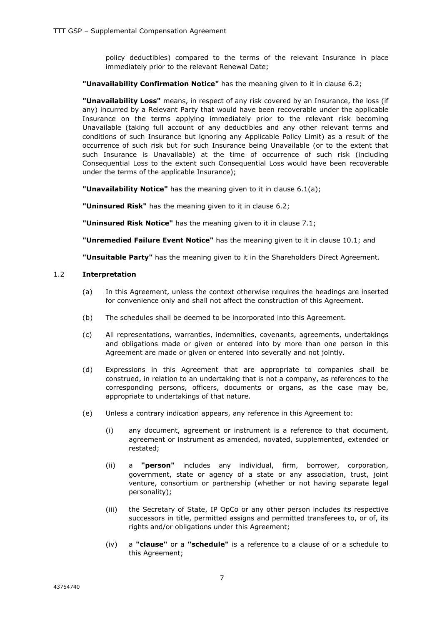policy deductibles) compared to the terms of the relevant Insurance in place immediately prior to the relevant Renewal Date;

#### **"Unavailability Confirmation Notice"** has the meaning given to it in clause 6.2;

**"Unavailability Loss"** means, in respect of any risk covered by an Insurance, the loss (if any) incurred by a Relevant Party that would have been recoverable under the applicable Insurance on the terms applying immediately prior to the relevant risk becoming Unavailable (taking full account of any deductibles and any other relevant terms and conditions of such Insurance but ignoring any Applicable Policy Limit) as a result of the occurrence of such risk but for such Insurance being Unavailable (or to the extent that such Insurance is Unavailable) at the time of occurrence of such risk (including Consequential Loss to the extent such Consequential Loss would have been recoverable under the terms of the applicable Insurance);

**"Unavailability Notice"** has the meaning given to it in clause 6.1(a);

**"Uninsured Risk"** has the meaning given to it in clause 6.2;

**"Uninsured Risk Notice"** has the meaning given to it in clause 7.1;

**"Unremedied Failure Event Notice"** has the meaning given to it in clause 10.1; and

**"Unsuitable Party"** has the meaning given to it in the Shareholders Direct Agreement.

#### 1.2 **Interpretation**

- (a) In this Agreement, unless the context otherwise requires the headings are inserted for convenience only and shall not affect the construction of this Agreement.
- (b) The schedules shall be deemed to be incorporated into this Agreement.
- (c) All representations, warranties, indemnities, covenants, agreements, undertakings and obligations made or given or entered into by more than one person in this Agreement are made or given or entered into severally and not jointly.
- (d) Expressions in this Agreement that are appropriate to companies shall be construed, in relation to an undertaking that is not a company, as references to the corresponding persons, officers, documents or organs, as the case may be, appropriate to undertakings of that nature.
- (e) Unless a contrary indication appears, any reference in this Agreement to:
	- (i) any document, agreement or instrument is a reference to that document, agreement or instrument as amended, novated, supplemented, extended or restated;
	- (ii) a **"person"** includes any individual, firm, borrower, corporation, government, state or agency of a state or any association, trust, joint venture, consortium or partnership (whether or not having separate legal personality);
	- (iii) the Secretary of State, IP OpCo or any other person includes its respective successors in title, permitted assigns and permitted transferees to, or of, its rights and/or obligations under this Agreement;
	- (iv) a **"clause"** or a **"schedule"** is a reference to a clause of or a schedule to this Agreement;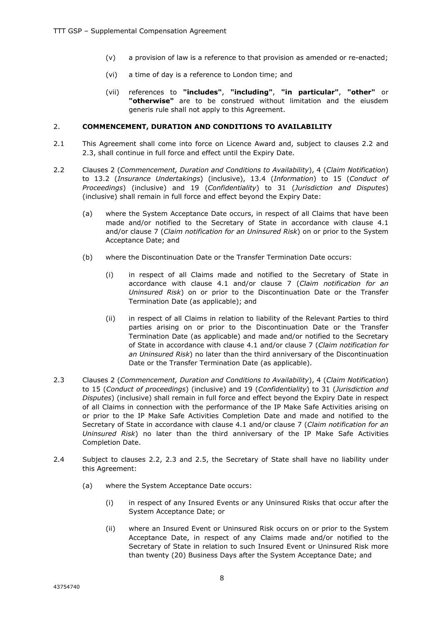- (v) a provision of law is a reference to that provision as amended or re-enacted;
- (vi) a time of day is a reference to London time; and
- (vii) references to **"includes"**, **"including"**, **"in particular"**, **"other"** or **"otherwise"** are to be construed without limitation and the eiusdem generis rule shall not apply to this Agreement.

#### 2. **COMMENCEMENT, DURATION AND CONDITIONS TO AVAILABILITY**

- 2.1 This Agreement shall come into force on Licence Award and, subject to clauses 2.2 and 2.3, shall continue in full force and effect until the Expiry Date.
- 2.2 Clauses 2 (*Commencement, Duration and Conditions to Availability*), 4 (*Claim Notification*) to 13.2 (*Insurance Undertakings*) (inclusive), 13.4 (*Information*) to 15 (*Conduct of Proceedings*) (inclusive) and 19 (*Confidentiality*) to 31 (*Jurisdiction and Disputes*) (inclusive) shall remain in full force and effect beyond the Expiry Date:
	- (a) where the System Acceptance Date occurs, in respect of all Claims that have been made and/or notified to the Secretary of State in accordance with clause 4.1 and/or clause 7 (*Claim notification for an Uninsured Risk*) on or prior to the System Acceptance Date; and
	- (b) where the Discontinuation Date or the Transfer Termination Date occurs:
		- (i) in respect of all Claims made and notified to the Secretary of State in accordance with clause 4.1 and/or clause 7 (*Claim notification for an Uninsured Risk*) on or prior to the Discontinuation Date or the Transfer Termination Date (as applicable); and
		- (ii) in respect of all Claims in relation to liability of the Relevant Parties to third parties arising on or prior to the Discontinuation Date or the Transfer Termination Date (as applicable) and made and/or notified to the Secretary of State in accordance with clause 4.1 and/or clause 7 (*Claim notification for an Uninsured Risk*) no later than the third anniversary of the Discontinuation Date or the Transfer Termination Date (as applicable).
- 2.3 Clauses 2 (*Commencement, Duration and Conditions to Availability*), 4 (*Claim Notification*) to 15 (*Conduct of proceedings*) (inclusive) and 19 (*Confidentiality*) to 31 (*Jurisdiction and Disputes*) (inclusive) shall remain in full force and effect beyond the Expiry Date in respect of all Claims in connection with the performance of the IP Make Safe Activities arising on or prior to the IP Make Safe Activities Completion Date and made and notified to the Secretary of State in accordance with clause 4.1 and/or clause 7 (*Claim notification for an Uninsured Risk*) no later than the third anniversary of the IP Make Safe Activities Completion Date.
- 2.4 Subject to clauses 2.2, 2.3 and 2.5, the Secretary of State shall have no liability under this Agreement:
	- (a) where the System Acceptance Date occurs:
		- (i) in respect of any Insured Events or any Uninsured Risks that occur after the System Acceptance Date; or
		- (ii) where an Insured Event or Uninsured Risk occurs on or prior to the System Acceptance Date, in respect of any Claims made and/or notified to the Secretary of State in relation to such Insured Event or Uninsured Risk more than twenty (20) Business Days after the System Acceptance Date; and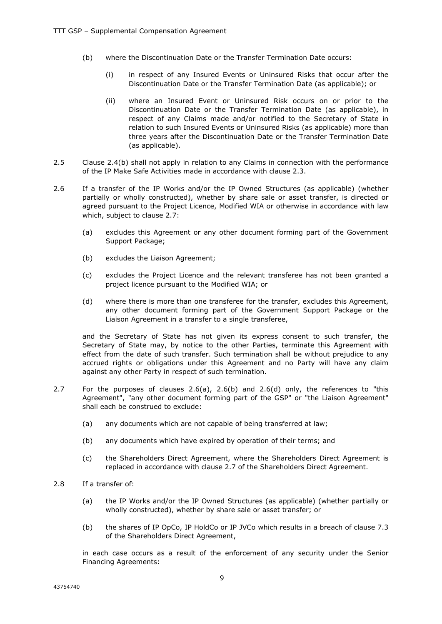- (b) where the Discontinuation Date or the Transfer Termination Date occurs:
	- (i) in respect of any Insured Events or Uninsured Risks that occur after the Discontinuation Date or the Transfer Termination Date (as applicable); or
	- (ii) where an Insured Event or Uninsured Risk occurs on or prior to the Discontinuation Date or the Transfer Termination Date (as applicable), in respect of any Claims made and/or notified to the Secretary of State in relation to such Insured Events or Uninsured Risks (as applicable) more than three years after the Discontinuation Date or the Transfer Termination Date (as applicable).
- 2.5 Clause 2.4(b) shall not apply in relation to any Claims in connection with the performance of the IP Make Safe Activities made in accordance with clause 2.3.
- 2.6 If a transfer of the IP Works and/or the IP Owned Structures (as applicable) (whether partially or wholly constructed), whether by share sale or asset transfer, is directed or agreed pursuant to the Project Licence, Modified WIA or otherwise in accordance with law which, subject to clause 2.7:
	- (a) excludes this Agreement or any other document forming part of the Government Support Package;
	- (b) excludes the Liaison Agreement;
	- (c) excludes the Project Licence and the relevant transferee has not been granted a project licence pursuant to the Modified WIA; or
	- (d) where there is more than one transferee for the transfer, excludes this Agreement, any other document forming part of the Government Support Package or the Liaison Agreement in a transfer to a single transferee,

and the Secretary of State has not given its express consent to such transfer, the Secretary of State may, by notice to the other Parties, terminate this Agreement with effect from the date of such transfer. Such termination shall be without prejudice to any accrued rights or obligations under this Agreement and no Party will have any claim against any other Party in respect of such termination.

- 2.7 For the purposes of clauses 2.6(a), 2.6(b) and 2.6(d) only, the references to "this Agreement", "any other document forming part of the GSP" or "the Liaison Agreement" shall each be construed to exclude:
	- (a) any documents which are not capable of being transferred at law;
	- (b) any documents which have expired by operation of their terms; and
	- (c) the Shareholders Direct Agreement, where the Shareholders Direct Agreement is replaced in accordance with clause 2.7 of the Shareholders Direct Agreement.
- 2.8 If a transfer of:
	- (a) the IP Works and/or the IP Owned Structures (as applicable) (whether partially or wholly constructed), whether by share sale or asset transfer; or
	- (b) the shares of IP OpCo, IP HoldCo or IP JVCo which results in a breach of clause 7.3 of the Shareholders Direct Agreement,

in each case occurs as a result of the enforcement of any security under the Senior Financing Agreements: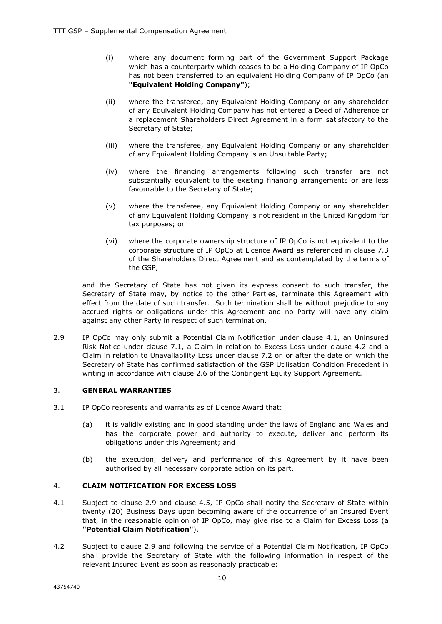- (i) where any document forming part of the Government Support Package which has a counterparty which ceases to be a Holding Company of IP OpCo has not been transferred to an equivalent Holding Company of IP OpCo (an **"Equivalent Holding Company"**);
- (ii) where the transferee, any Equivalent Holding Company or any shareholder of any Equivalent Holding Company has not entered a Deed of Adherence or a replacement Shareholders Direct Agreement in a form satisfactory to the Secretary of State;
- (iii) where the transferee, any Equivalent Holding Company or any shareholder of any Equivalent Holding Company is an Unsuitable Party;
- (iv) where the financing arrangements following such transfer are not substantially equivalent to the existing financing arrangements or are less favourable to the Secretary of State;
- (v) where the transferee, any Equivalent Holding Company or any shareholder of any Equivalent Holding Company is not resident in the United Kingdom for tax purposes; or
- (vi) where the corporate ownership structure of IP OpCo is not equivalent to the corporate structure of IP OpCo at Licence Award as referenced in clause 7.3 of the Shareholders Direct Agreement and as contemplated by the terms of the GSP,

and the Secretary of State has not given its express consent to such transfer, the Secretary of State may, by notice to the other Parties, terminate this Agreement with effect from the date of such transfer. Such termination shall be without prejudice to any accrued rights or obligations under this Agreement and no Party will have any claim against any other Party in respect of such termination.

2.9 IP OpCo may only submit a Potential Claim Notification under clause 4.1, an Uninsured Risk Notice under clause 7.1, a Claim in relation to Excess Loss under clause 4.2 and a Claim in relation to Unavailability Loss under clause 7.2 on or after the date on which the Secretary of State has confirmed satisfaction of the GSP Utilisation Condition Precedent in writing in accordance with clause 2.6 of the Contingent Equity Support Agreement.

#### 3. **GENERAL WARRANTIES**

- 3.1 IP OpCo represents and warrants as of Licence Award that:
	- (a) it is validly existing and in good standing under the laws of England and Wales and has the corporate power and authority to execute, deliver and perform its obligations under this Agreement; and
	- (b) the execution, delivery and performance of this Agreement by it have been authorised by all necessary corporate action on its part.

#### 4. **CLAIM NOTIFICATION FOR EXCESS LOSS**

- 4.1 Subject to clause 2.9 and clause 4.5, IP OpCo shall notify the Secretary of State within twenty (20) Business Days upon becoming aware of the occurrence of an Insured Event that, in the reasonable opinion of IP OpCo, may give rise to a Claim for Excess Loss (a **"Potential Claim Notification"**).
- 4.2 Subject to clause 2.9 and following the service of a Potential Claim Notification, IP OpCo shall provide the Secretary of State with the following information in respect of the relevant Insured Event as soon as reasonably practicable: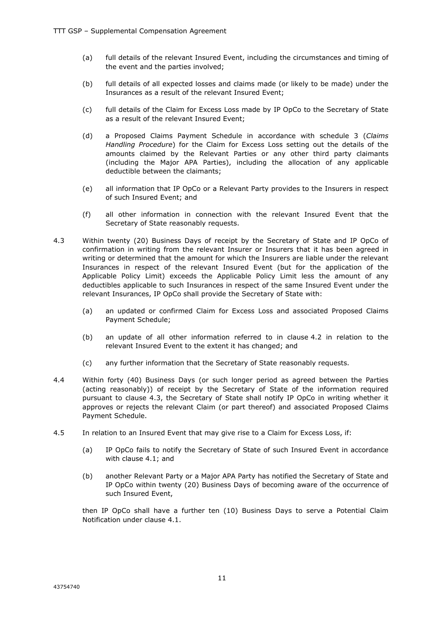- (a) full details of the relevant Insured Event, including the circumstances and timing of the event and the parties involved;
- (b) full details of all expected losses and claims made (or likely to be made) under the Insurances as a result of the relevant Insured Event;
- (c) full details of the Claim for Excess Loss made by IP OpCo to the Secretary of State as a result of the relevant Insured Event;
- (d) a Proposed Claims Payment Schedule in accordance with schedule 3 (*Claims Handling Procedure*) for the Claim for Excess Loss setting out the details of the amounts claimed by the Relevant Parties or any other third party claimants (including the Major APA Parties), including the allocation of any applicable deductible between the claimants;
- (e) all information that IP OpCo or a Relevant Party provides to the Insurers in respect of such Insured Event; and
- (f) all other information in connection with the relevant Insured Event that the Secretary of State reasonably requests.
- 4.3 Within twenty (20) Business Days of receipt by the Secretary of State and IP OpCo of confirmation in writing from the relevant Insurer or Insurers that it has been agreed in writing or determined that the amount for which the Insurers are liable under the relevant Insurances in respect of the relevant Insured Event (but for the application of the Applicable Policy Limit) exceeds the Applicable Policy Limit less the amount of any deductibles applicable to such Insurances in respect of the same Insured Event under the relevant Insurances, IP OpCo shall provide the Secretary of State with:
	- (a) an updated or confirmed Claim for Excess Loss and associated Proposed Claims Payment Schedule;
	- (b) an update of all other information referred to in clause 4.2 in relation to the relevant Insured Event to the extent it has changed; and
	- (c) any further information that the Secretary of State reasonably requests.
- 4.4 Within forty (40) Business Days (or such longer period as agreed between the Parties (acting reasonably)) of receipt by the Secretary of State of the information required pursuant to clause 4.3, the Secretary of State shall notify IP OpCo in writing whether it approves or rejects the relevant Claim (or part thereof) and associated Proposed Claims Payment Schedule.
- 4.5 In relation to an Insured Event that may give rise to a Claim for Excess Loss, if:
	- (a) IP OpCo fails to notify the Secretary of State of such Insured Event in accordance with clause 4.1; and
	- (b) another Relevant Party or a Major APA Party has notified the Secretary of State and IP OpCo within twenty (20) Business Days of becoming aware of the occurrence of such Insured Event,

then IP OpCo shall have a further ten (10) Business Days to serve a Potential Claim Notification under clause 4.1.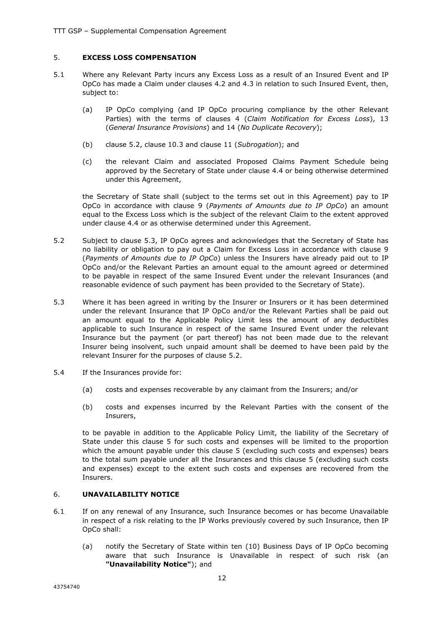#### 5. **EXCESS LOSS COMPENSATION**

- 5.1 Where any Relevant Party incurs any Excess Loss as a result of an Insured Event and IP OpCo has made a Claim under clauses 4.2 and 4.3 in relation to such Insured Event, then, subject to:
	- (a) IP OpCo complying (and IP OpCo procuring compliance by the other Relevant Parties) with the terms of clauses 4 (*Claim Notification for Excess Loss*), 13 (*General Insurance Provisions*) and 14 (*No Duplicate Recovery*);
	- (b) clause 5.2, clause 10.3 and clause 11 (*Subrogation*); and
	- (c) the relevant Claim and associated Proposed Claims Payment Schedule being approved by the Secretary of State under clause 4.4 or being otherwise determined under this Agreement,

the Secretary of State shall (subject to the terms set out in this Agreement) pay to IP OpCo in accordance with clause 9 (*Payments of Amounts due to IP OpCo*) an amount equal to the Excess Loss which is the subject of the relevant Claim to the extent approved under clause 4.4 or as otherwise determined under this Agreement.

- 5.2 Subject to clause 5.3, IP OpCo agrees and acknowledges that the Secretary of State has no liability or obligation to pay out a Claim for Excess Loss in accordance with clause 9 (*Payments of Amounts due to IP OpCo*) unless the Insurers have already paid out to IP OpCo and/or the Relevant Parties an amount equal to the amount agreed or determined to be payable in respect of the same Insured Event under the relevant Insurances (and reasonable evidence of such payment has been provided to the Secretary of State).
- 5.3 Where it has been agreed in writing by the Insurer or Insurers or it has been determined under the relevant Insurance that IP OpCo and/or the Relevant Parties shall be paid out an amount equal to the Applicable Policy Limit less the amount of any deductibles applicable to such Insurance in respect of the same Insured Event under the relevant Insurance but the payment (or part thereof) has not been made due to the relevant Insurer being insolvent, such unpaid amount shall be deemed to have been paid by the relevant Insurer for the purposes of clause 5.2.
- 5.4 If the Insurances provide for:
	- (a) costs and expenses recoverable by any claimant from the Insurers; and/or
	- (b) costs and expenses incurred by the Relevant Parties with the consent of the Insurers,

to be payable in addition to the Applicable Policy Limit, the liability of the Secretary of State under this clause 5 for such costs and expenses will be limited to the proportion which the amount payable under this clause 5 (excluding such costs and expenses) bears to the total sum payable under all the Insurances and this clause 5 (excluding such costs and expenses) except to the extent such costs and expenses are recovered from the Insurers.

#### 6. **UNAVAILABILITY NOTICE**

- 6.1 If on any renewal of any Insurance, such Insurance becomes or has become Unavailable in respect of a risk relating to the IP Works previously covered by such Insurance, then IP OpCo shall:
	- (a) notify the Secretary of State within ten (10) Business Days of IP OpCo becoming aware that such Insurance is Unavailable in respect of such risk (an **"Unavailability Notice"**); and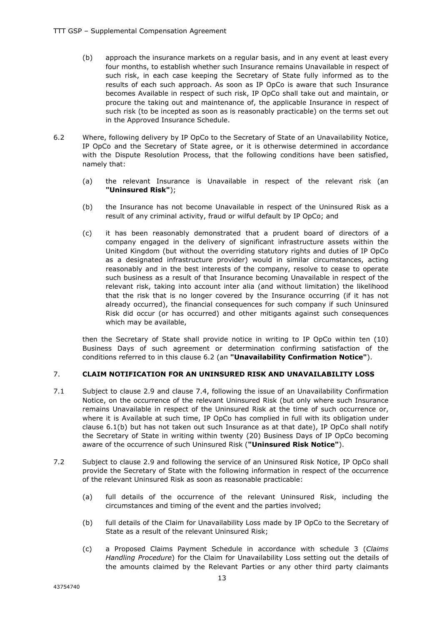- (b) approach the insurance markets on a regular basis, and in any event at least every four months, to establish whether such Insurance remains Unavailable in respect of such risk, in each case keeping the Secretary of State fully informed as to the results of each such approach. As soon as IP OpCo is aware that such Insurance becomes Available in respect of such risk, IP OpCo shall take out and maintain, or procure the taking out and maintenance of, the applicable Insurance in respect of such risk (to be incepted as soon as is reasonably practicable) on the terms set out in the Approved Insurance Schedule.
- 6.2 Where, following delivery by IP OpCo to the Secretary of State of an Unavailability Notice, IP OpCo and the Secretary of State agree, or it is otherwise determined in accordance with the Dispute Resolution Process, that the following conditions have been satisfied, namely that:
	- (a) the relevant Insurance is Unavailable in respect of the relevant risk (an **"Uninsured Risk"**);
	- (b) the Insurance has not become Unavailable in respect of the Uninsured Risk as a result of any criminal activity, fraud or wilful default by IP OpCo; and
	- (c) it has been reasonably demonstrated that a prudent board of directors of a company engaged in the delivery of significant infrastructure assets within the United Kingdom (but without the overriding statutory rights and duties of IP OpCo as a designated infrastructure provider) would in similar circumstances, acting reasonably and in the best interests of the company, resolve to cease to operate such business as a result of that Insurance becoming Unavailable in respect of the relevant risk, taking into account inter alia (and without limitation) the likelihood that the risk that is no longer covered by the Insurance occurring (if it has not already occurred), the financial consequences for such company if such Uninsured Risk did occur (or has occurred) and other mitigants against such consequences which may be available,

then the Secretary of State shall provide notice in writing to IP OpCo within ten (10) Business Days of such agreement or determination confirming satisfaction of the conditions referred to in this clause 6.2 (an **"Unavailability Confirmation Notice"**).

#### 7. **CLAIM NOTIFICATION FOR AN UNINSURED RISK AND UNAVAILABILITY LOSS**

- 7.1 Subject to clause 2.9 and clause 7.4, following the issue of an Unavailability Confirmation Notice, on the occurrence of the relevant Uninsured Risk (but only where such Insurance remains Unavailable in respect of the Uninsured Risk at the time of such occurrence or, where it is Available at such time, IP OpCo has complied in full with its obligation under clause 6.1(b) but has not taken out such Insurance as at that date), IP OpCo shall notify the Secretary of State in writing within twenty (20) Business Days of IP OpCo becoming aware of the occurrence of such Uninsured Risk (**"Uninsured Risk Notice"**).
- 7.2 Subject to clause 2.9 and following the service of an Uninsured Risk Notice, IP OpCo shall provide the Secretary of State with the following information in respect of the occurrence of the relevant Uninsured Risk as soon as reasonable practicable:
	- (a) full details of the occurrence of the relevant Uninsured Risk, including the circumstances and timing of the event and the parties involved;
	- (b) full details of the Claim for Unavailability Loss made by IP OpCo to the Secretary of State as a result of the relevant Uninsured Risk;
	- (c) a Proposed Claims Payment Schedule in accordance with schedule 3 (*Claims Handling Procedure*) for the Claim for Unavailability Loss setting out the details of the amounts claimed by the Relevant Parties or any other third party claimants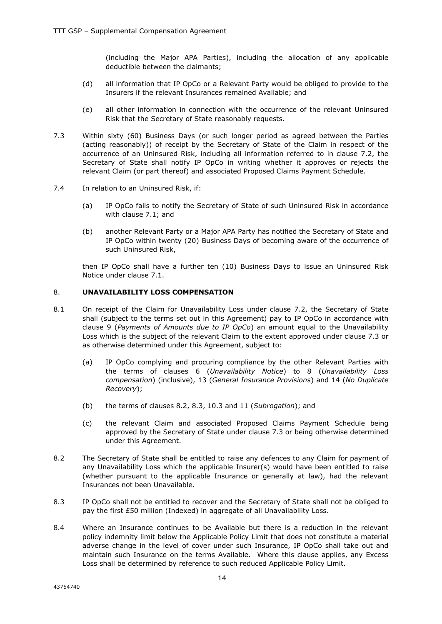(including the Major APA Parties), including the allocation of any applicable deductible between the claimants;

- (d) all information that IP OpCo or a Relevant Party would be obliged to provide to the Insurers if the relevant Insurances remained Available; and
- (e) all other information in connection with the occurrence of the relevant Uninsured Risk that the Secretary of State reasonably requests.
- 7.3 Within sixty (60) Business Days (or such longer period as agreed between the Parties (acting reasonably)) of receipt by the Secretary of State of the Claim in respect of the occurrence of an Uninsured Risk, including all information referred to in clause 7.2, the Secretary of State shall notify IP OpCo in writing whether it approves or rejects the relevant Claim (or part thereof) and associated Proposed Claims Payment Schedule.
- 7.4 In relation to an Uninsured Risk, if:
	- (a) IP OpCo fails to notify the Secretary of State of such Uninsured Risk in accordance with clause 7.1; and
	- (b) another Relevant Party or a Major APA Party has notified the Secretary of State and IP OpCo within twenty (20) Business Days of becoming aware of the occurrence of such Uninsured Risk,

then IP OpCo shall have a further ten (10) Business Days to issue an Uninsured Risk Notice under clause 7.1.

#### 8. **UNAVAILABILITY LOSS COMPENSATION**

- 8.1 On receipt of the Claim for Unavailability Loss under clause 7.2, the Secretary of State shall (subject to the terms set out in this Agreement) pay to IP OpCo in accordance with clause 9 (*Payments of Amounts due to IP OpCo*) an amount equal to the Unavailability Loss which is the subject of the relevant Claim to the extent approved under clause 7.3 or as otherwise determined under this Agreement, subject to:
	- (a) IP OpCo complying and procuring compliance by the other Relevant Parties with the terms of clauses 6 (*Unavailability Notice*) to 8 (*Unavailability Loss compensation*) (inclusive), 13 (*General Insurance Provisions*) and 14 (*No Duplicate Recovery*);
	- (b) the terms of clauses 8.2, 8.3, 10.3 and 11 (*Subrogation*); and
	- (c) the relevant Claim and associated Proposed Claims Payment Schedule being approved by the Secretary of State under clause 7.3 or being otherwise determined under this Agreement.
- 8.2 The Secretary of State shall be entitled to raise any defences to any Claim for payment of any Unavailability Loss which the applicable Insurer(s) would have been entitled to raise (whether pursuant to the applicable Insurance or generally at law), had the relevant Insurances not been Unavailable.
- 8.3 IP OpCo shall not be entitled to recover and the Secretary of State shall not be obliged to pay the first £50 million (Indexed) in aggregate of all Unavailability Loss.
- 8.4 Where an Insurance continues to be Available but there is a reduction in the relevant policy indemnity limit below the Applicable Policy Limit that does not constitute a material adverse change in the level of cover under such Insurance, IP OpCo shall take out and maintain such Insurance on the terms Available. Where this clause applies, any Excess Loss shall be determined by reference to such reduced Applicable Policy Limit.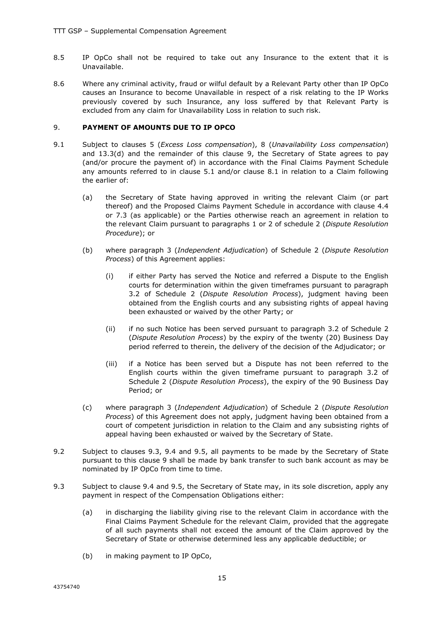- 8.5 IP OpCo shall not be required to take out any Insurance to the extent that it is Unavailable.
- 8.6 Where any criminal activity, fraud or wilful default by a Relevant Party other than IP OpCo causes an Insurance to become Unavailable in respect of a risk relating to the IP Works previously covered by such Insurance, any loss suffered by that Relevant Party is excluded from any claim for Unavailability Loss in relation to such risk.

#### 9. **PAYMENT OF AMOUNTS DUE TO IP OPCO**

- 9.1 Subject to clauses 5 (*Excess Loss compensation*), 8 (*Unavailability Loss compensation*) and 13.3(d) and the remainder of this clause 9, the Secretary of State agrees to pay (and/or procure the payment of) in accordance with the Final Claims Payment Schedule any amounts referred to in clause 5.1 and/or clause 8.1 in relation to a Claim following the earlier of:
	- (a) the Secretary of State having approved in writing the relevant Claim (or part thereof) and the Proposed Claims Payment Schedule in accordance with clause 4.4 or 7.3 (as applicable) or the Parties otherwise reach an agreement in relation to the relevant Claim pursuant to paragraphs 1 or 2 of schedule 2 (*Dispute Resolution Procedure*); or
	- (b) where paragraph 3 (*Independent Adjudication*) of Schedule 2 (*Dispute Resolution Process*) of this Agreement applies:
		- (i) if either Party has served the Notice and referred a Dispute to the English courts for determination within the given timeframes pursuant to paragraph 3.2 of Schedule 2 (*Dispute Resolution Process*), judgment having been obtained from the English courts and any subsisting rights of appeal having been exhausted or waived by the other Party; or
		- (ii) if no such Notice has been served pursuant to paragraph 3.2 of Schedule 2 (*Dispute Resolution Process*) by the expiry of the twenty (20) Business Day period referred to therein, the delivery of the decision of the Adjudicator; or
		- (iii) if a Notice has been served but a Dispute has not been referred to the English courts within the given timeframe pursuant to paragraph 3.2 of Schedule 2 (*Dispute Resolution Process*), the expiry of the 90 Business Day Period; or
	- (c) where paragraph 3 (*Independent Adjudication*) of Schedule 2 (*Dispute Resolution Process*) of this Agreement does not apply, judgment having been obtained from a court of competent jurisdiction in relation to the Claim and any subsisting rights of appeal having been exhausted or waived by the Secretary of State.
- 9.2 Subject to clauses 9.3, 9.4 and 9.5, all payments to be made by the Secretary of State pursuant to this clause 9 shall be made by bank transfer to such bank account as may be nominated by IP OpCo from time to time.
- 9.3 Subject to clause 9.4 and 9.5, the Secretary of State may, in its sole discretion, apply any payment in respect of the Compensation Obligations either:
	- (a) in discharging the liability giving rise to the relevant Claim in accordance with the Final Claims Payment Schedule for the relevant Claim, provided that the aggregate of all such payments shall not exceed the amount of the Claim approved by the Secretary of State or otherwise determined less any applicable deductible; or
	- (b) in making payment to IP OpCo,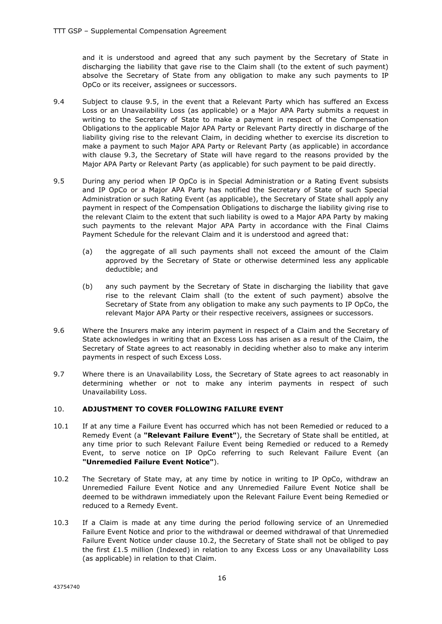and it is understood and agreed that any such payment by the Secretary of State in discharging the liability that gave rise to the Claim shall (to the extent of such payment) absolve the Secretary of State from any obligation to make any such payments to IP OpCo or its receiver, assignees or successors.

- 9.4 Subject to clause 9.5, in the event that a Relevant Party which has suffered an Excess Loss or an Unavailability Loss (as applicable) or a Major APA Party submits a request in writing to the Secretary of State to make a payment in respect of the Compensation Obligations to the applicable Major APA Party or Relevant Party directly in discharge of the liability giving rise to the relevant Claim, in deciding whether to exercise its discretion to make a payment to such Major APA Party or Relevant Party (as applicable) in accordance with clause 9.3, the Secretary of State will have regard to the reasons provided by the Major APA Party or Relevant Party (as applicable) for such payment to be paid directly.
- 9.5 During any period when IP OpCo is in Special Administration or a Rating Event subsists and IP OpCo or a Major APA Party has notified the Secretary of State of such Special Administration or such Rating Event (as applicable), the Secretary of State shall apply any payment in respect of the Compensation Obligations to discharge the liability giving rise to the relevant Claim to the extent that such liability is owed to a Major APA Party by making such payments to the relevant Major APA Party in accordance with the Final Claims Payment Schedule for the relevant Claim and it is understood and agreed that:
	- (a) the aggregate of all such payments shall not exceed the amount of the Claim approved by the Secretary of State or otherwise determined less any applicable deductible; and
	- (b) any such payment by the Secretary of State in discharging the liability that gave rise to the relevant Claim shall (to the extent of such payment) absolve the Secretary of State from any obligation to make any such payments to IP OpCo, the relevant Major APA Party or their respective receivers, assignees or successors.
- 9.6 Where the Insurers make any interim payment in respect of a Claim and the Secretary of State acknowledges in writing that an Excess Loss has arisen as a result of the Claim, the Secretary of State agrees to act reasonably in deciding whether also to make any interim payments in respect of such Excess Loss.
- 9.7 Where there is an Unavailability Loss, the Secretary of State agrees to act reasonably in determining whether or not to make any interim payments in respect of such Unavailability Loss.

#### 10. **ADJUSTMENT TO COVER FOLLOWING FAILURE EVENT**

- 10.1 If at any time a Failure Event has occurred which has not been Remedied or reduced to a Remedy Event (a **"Relevant Failure Event"**), the Secretary of State shall be entitled, at any time prior to such Relevant Failure Event being Remedied or reduced to a Remedy Event, to serve notice on IP OpCo referring to such Relevant Failure Event (an **"Unremedied Failure Event Notice"**).
- 10.2 The Secretary of State may, at any time by notice in writing to IP OpCo, withdraw an Unremedied Failure Event Notice and any Unremedied Failure Event Notice shall be deemed to be withdrawn immediately upon the Relevant Failure Event being Remedied or reduced to a Remedy Event.
- 10.3 If a Claim is made at any time during the period following service of an Unremedied Failure Event Notice and prior to the withdrawal or deemed withdrawal of that Unremedied Failure Event Notice under clause 10.2, the Secretary of State shall not be obliged to pay the first £1.5 million (Indexed) in relation to any Excess Loss or any Unavailability Loss (as applicable) in relation to that Claim.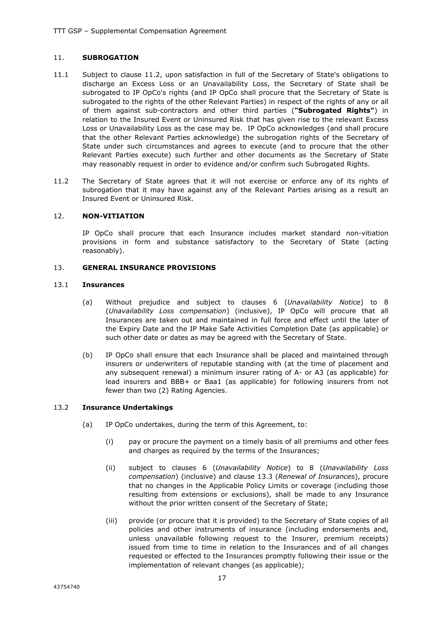#### 11. **SUBROGATION**

- 11.1 Subject to clause 11.2, upon satisfaction in full of the Secretary of State's obligations to discharge an Excess Loss or an Unavailability Loss, the Secretary of State shall be subrogated to IP OpCo's rights (and IP OpCo shall procure that the Secretary of State is subrogated to the rights of the other Relevant Parties) in respect of the rights of any or all of them against sub-contractors and other third parties (**"Subrogated Rights"**) in relation to the Insured Event or Uninsured Risk that has given rise to the relevant Excess Loss or Unavailability Loss as the case may be. IP OpCo acknowledges (and shall procure that the other Relevant Parties acknowledge) the subrogation rights of the Secretary of State under such circumstances and agrees to execute (and to procure that the other Relevant Parties execute) such further and other documents as the Secretary of State may reasonably request in order to evidence and/or confirm such Subrogated Rights.
- 11.2 The Secretary of State agrees that it will not exercise or enforce any of its rights of subrogation that it may have against any of the Relevant Parties arising as a result an Insured Event or Uninsured Risk.

#### 12. **NON-VITIATION**

IP OpCo shall procure that each Insurance includes market standard non-vitiation provisions in form and substance satisfactory to the Secretary of State (acting reasonably).

#### 13. **GENERAL INSURANCE PROVISIONS**

#### 13.1 **Insurances**

- (a) Without prejudice and subject to clauses 6 (*Unavailability Notice*) to 8 (*Unavailability Loss compensation*) (inclusive), IP OpCo will procure that all Insurances are taken out and maintained in full force and effect until the later of the Expiry Date and the IP Make Safe Activities Completion Date (as applicable) or such other date or dates as may be agreed with the Secretary of State.
- (b) IP OpCo shall ensure that each Insurance shall be placed and maintained through insurers or underwriters of reputable standing with (at the time of placement and any subsequent renewal) a minimum insurer rating of A- or A3 (as applicable) for lead insurers and BBB+ or Baa1 (as applicable) for following insurers from not fewer than two (2) Rating Agencies.

#### 13.2 **Insurance Undertakings**

- (a) IP OpCo undertakes, during the term of this Agreement, to:
	- (i) pay or procure the payment on a timely basis of all premiums and other fees and charges as required by the terms of the Insurances;
	- (ii) subject to clauses 6 (*Unavailability Notice*) to 8 (*Unavailability Loss compensation*) (inclusive) and clause 13.3 (*Renewal of Insurances*), procure that no changes in the Applicable Policy Limits or coverage (including those resulting from extensions or exclusions), shall be made to any Insurance without the prior written consent of the Secretary of State;
	- (iii) provide (or procure that it is provided) to the Secretary of State copies of all policies and other instruments of insurance (including endorsements and, unless unavailable following request to the Insurer, premium receipts) issued from time to time in relation to the Insurances and of all changes requested or effected to the Insurances promptly following their issue or the implementation of relevant changes (as applicable);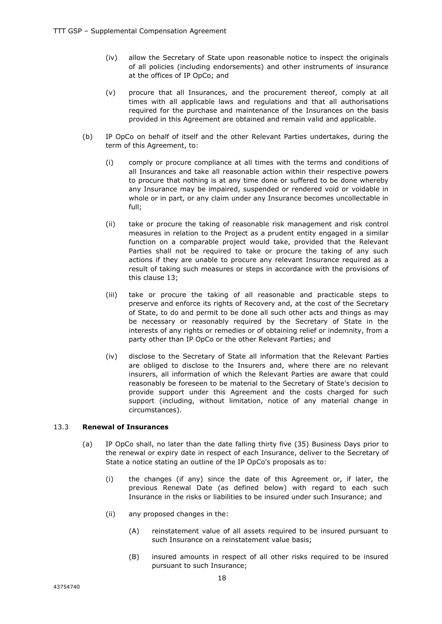- (iv) allow the Secretary of State upon reasonable notice to inspect the originals of all policies (including endorsements) and other instruments of insurance at the offices of IP OpCo; and
- (v) procure that all Insurances, and the procurement thereof, comply at all times with all applicable laws and regulations and that all authorisations required for the purchase and maintenance of the Insurances on the basis provided in this Agreement are obtained and remain valid and applicable.
- (b) IP OpCo on behalf of itself and the other Relevant Parties undertakes, during the term of this Agreement, to:
	- (i) comply or procure compliance at all times with the terms and conditions of all Insurances and take all reasonable action within their respective powers to procure that nothing is at any time done or suffered to be done whereby any Insurance may be impaired, suspended or rendered void or voidable in whole or in part, or any claim under any Insurance becomes uncollectable in full;
	- (ii) take or procure the taking of reasonable risk management and risk control measures in relation to the Project as a prudent entity engaged in a similar function on a comparable project would take, provided that the Relevant Parties shall not be required to take or procure the taking of any such actions if they are unable to procure any relevant Insurance required as a result of taking such measures or steps in accordance with the provisions of this clause 13;
	- (iii) take or procure the taking of all reasonable and practicable steps to preserve and enforce its rights of Recovery and, at the cost of the Secretary of State, to do and permit to be done all such other acts and things as may be necessary or reasonably required by the Secretary of State in the interests of any rights or remedies or of obtaining relief or indemnity, from a party other than IP OpCo or the other Relevant Parties; and
	- (iv) disclose to the Secretary of State all information that the Relevant Parties are obliged to disclose to the Insurers and, where there are no relevant insurers, all information of which the Relevant Parties are aware that could reasonably be foreseen to be material to the Secretary of State's decision to provide support under this Agreement and the costs charged for such support (including, without limitation, notice of any material change in circumstances).

#### 13.3 **Renewal of Insurances**

- (a) IP OpCo shall, no later than the date falling thirty five (35) Business Days prior to the renewal or expiry date in respect of each Insurance, deliver to the Secretary of State a notice stating an outline of the IP OpCo's proposals as to:
	- (i) the changes (if any) since the date of this Agreement or, if later, the previous Renewal Date (as defined below) with regard to each such Insurance in the risks or liabilities to be insured under such Insurance; and
	- (ii) any proposed changes in the:
		- (A) reinstatement value of all assets required to be insured pursuant to such Insurance on a reinstatement value basis;
		- (B) insured amounts in respect of all other risks required to be insured pursuant to such Insurance;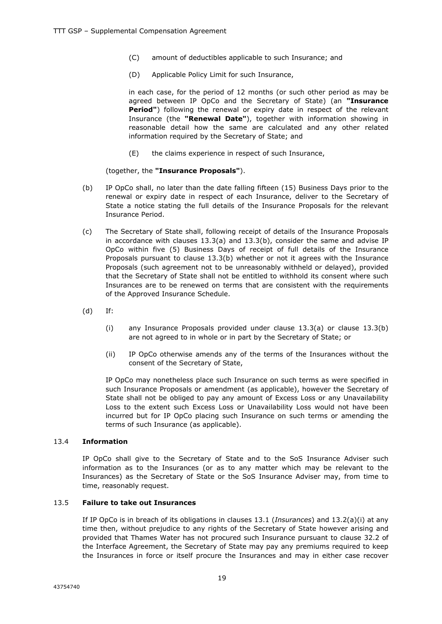- (C) amount of deductibles applicable to such Insurance; and
- (D) Applicable Policy Limit for such Insurance,

in each case, for the period of 12 months (or such other period as may be agreed between IP OpCo and the Secretary of State) (an **"Insurance Period"**) following the renewal or expiry date in respect of the relevant Insurance (the **"Renewal Date"**), together with information showing in reasonable detail how the same are calculated and any other related information required by the Secretary of State; and

(E) the claims experience in respect of such Insurance,

(together, the **"Insurance Proposals"**).

- (b) IP OpCo shall, no later than the date falling fifteen (15) Business Days prior to the renewal or expiry date in respect of each Insurance, deliver to the Secretary of State a notice stating the full details of the Insurance Proposals for the relevant Insurance Period.
- (c) The Secretary of State shall, following receipt of details of the Insurance Proposals in accordance with clauses 13.3(a) and 13.3(b), consider the same and advise IP OpCo within five (5) Business Days of receipt of full details of the Insurance Proposals pursuant to clause 13.3(b) whether or not it agrees with the Insurance Proposals (such agreement not to be unreasonably withheld or delayed), provided that the Secretary of State shall not be entitled to withhold its consent where such Insurances are to be renewed on terms that are consistent with the requirements of the Approved Insurance Schedule.
- (d) If:
	- (i) any Insurance Proposals provided under clause 13.3(a) or clause 13.3(b) are not agreed to in whole or in part by the Secretary of State; or
	- (ii) IP OpCo otherwise amends any of the terms of the Insurances without the consent of the Secretary of State,

IP OpCo may nonetheless place such Insurance on such terms as were specified in such Insurance Proposals or amendment (as applicable), however the Secretary of State shall not be obliged to pay any amount of Excess Loss or any Unavailability Loss to the extent such Excess Loss or Unavailability Loss would not have been incurred but for IP OpCo placing such Insurance on such terms or amending the terms of such Insurance (as applicable).

#### 13.4 **Information**

IP OpCo shall give to the Secretary of State and to the SoS Insurance Adviser such information as to the Insurances (or as to any matter which may be relevant to the Insurances) as the Secretary of State or the SoS Insurance Adviser may, from time to time, reasonably request.

#### 13.5 **Failure to take out Insurances**

If IP OpCo is in breach of its obligations in clauses 13.1 (*Insurances*) and 13.2(a)(i) at any time then, without prejudice to any rights of the Secretary of State however arising and provided that Thames Water has not procured such Insurance pursuant to clause 32.2 of the Interface Agreement, the Secretary of State may pay any premiums required to keep the Insurances in force or itself procure the Insurances and may in either case recover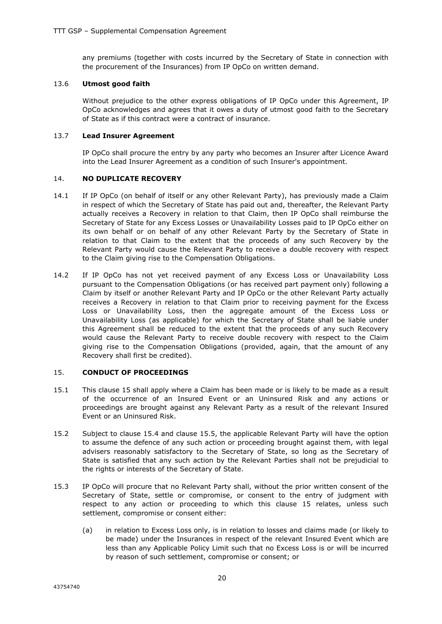any premiums (together with costs incurred by the Secretary of State in connection with the procurement of the Insurances) from IP OpCo on written demand.

#### 13.6 **Utmost good faith**

Without prejudice to the other express obligations of IP OpCo under this Agreement, IP OpCo acknowledges and agrees that it owes a duty of utmost good faith to the Secretary of State as if this contract were a contract of insurance.

#### 13.7 **Lead Insurer Agreement**

IP OpCo shall procure the entry by any party who becomes an Insurer after Licence Award into the Lead Insurer Agreement as a condition of such Insurer's appointment.

#### 14. **NO DUPLICATE RECOVERY**

- 14.1 If IP OpCo (on behalf of itself or any other Relevant Party), has previously made a Claim in respect of which the Secretary of State has paid out and, thereafter, the Relevant Party actually receives a Recovery in relation to that Claim, then IP OpCo shall reimburse the Secretary of State for any Excess Losses or Unavailability Losses paid to IP OpCo either on its own behalf or on behalf of any other Relevant Party by the Secretary of State in relation to that Claim to the extent that the proceeds of any such Recovery by the Relevant Party would cause the Relevant Party to receive a double recovery with respect to the Claim giving rise to the Compensation Obligations.
- 14.2 If IP OpCo has not yet received payment of any Excess Loss or Unavailability Loss pursuant to the Compensation Obligations (or has received part payment only) following a Claim by itself or another Relevant Party and IP OpCo or the other Relevant Party actually receives a Recovery in relation to that Claim prior to receiving payment for the Excess Loss or Unavailability Loss, then the aggregate amount of the Excess Loss or Unavailability Loss (as applicable) for which the Secretary of State shall be liable under this Agreement shall be reduced to the extent that the proceeds of any such Recovery would cause the Relevant Party to receive double recovery with respect to the Claim giving rise to the Compensation Obligations (provided, again, that the amount of any Recovery shall first be credited).

#### 15. **CONDUCT OF PROCEEDINGS**

- 15.1 This clause 15 shall apply where a Claim has been made or is likely to be made as a result of the occurrence of an Insured Event or an Uninsured Risk and any actions or proceedings are brought against any Relevant Party as a result of the relevant Insured Event or an Uninsured Risk.
- 15.2 Subject to clause 15.4 and clause 15.5, the applicable Relevant Party will have the option to assume the defence of any such action or proceeding brought against them, with legal advisers reasonably satisfactory to the Secretary of State, so long as the Secretary of State is satisfied that any such action by the Relevant Parties shall not be prejudicial to the rights or interests of the Secretary of State.
- 15.3 IP OpCo will procure that no Relevant Party shall, without the prior written consent of the Secretary of State, settle or compromise, or consent to the entry of judgment with respect to any action or proceeding to which this clause 15 relates, unless such settlement, compromise or consent either:
	- (a) in relation to Excess Loss only, is in relation to losses and claims made (or likely to be made) under the Insurances in respect of the relevant Insured Event which are less than any Applicable Policy Limit such that no Excess Loss is or will be incurred by reason of such settlement, compromise or consent; or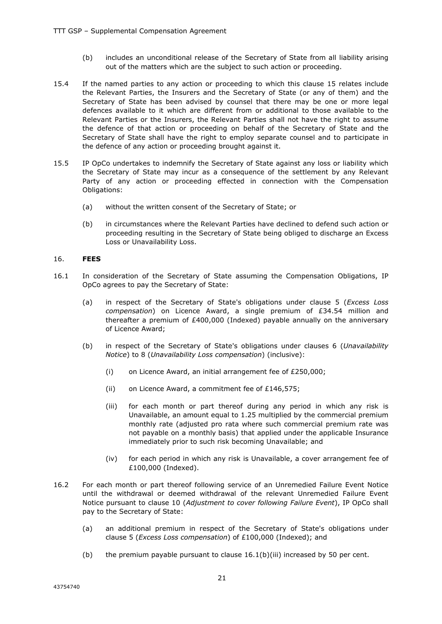- (b) includes an unconditional release of the Secretary of State from all liability arising out of the matters which are the subject to such action or proceeding.
- 15.4 If the named parties to any action or proceeding to which this clause 15 relates include the Relevant Parties, the Insurers and the Secretary of State (or any of them) and the Secretary of State has been advised by counsel that there may be one or more legal defences available to it which are different from or additional to those available to the Relevant Parties or the Insurers, the Relevant Parties shall not have the right to assume the defence of that action or proceeding on behalf of the Secretary of State and the Secretary of State shall have the right to employ separate counsel and to participate in the defence of any action or proceeding brought against it.
- 15.5 IP OpCo undertakes to indemnify the Secretary of State against any loss or liability which the Secretary of State may incur as a consequence of the settlement by any Relevant Party of any action or proceeding effected in connection with the Compensation Obligations:
	- (a) without the written consent of the Secretary of State; or
	- (b) in circumstances where the Relevant Parties have declined to defend such action or proceeding resulting in the Secretary of State being obliged to discharge an Excess Loss or Unavailability Loss.

#### 16. **FEES**

- 16.1 In consideration of the Secretary of State assuming the Compensation Obligations, IP OpCo agrees to pay the Secretary of State:
	- (a) in respect of the Secretary of State's obligations under clause 5 (*Excess Loss compensation*) on Licence Award, a single premium of £34.54 million and thereafter a premium of £400,000 (Indexed) payable annually on the anniversary of Licence Award;
	- (b) in respect of the Secretary of State's obligations under clauses 6 (*Unavailability Notice*) to 8 (*Unavailability Loss compensation*) (inclusive):
		- (i) on Licence Award, an initial arrangement fee of £250,000;
		- (ii) on Licence Award, a commitment fee of £146,575;
		- (iii) for each month or part thereof during any period in which any risk is Unavailable, an amount equal to 1.25 multiplied by the commercial premium monthly rate (adjusted pro rata where such commercial premium rate was not payable on a monthly basis) that applied under the applicable Insurance immediately prior to such risk becoming Unavailable; and
		- (iv) for each period in which any risk is Unavailable, a cover arrangement fee of £100,000 (Indexed).
- 16.2 For each month or part thereof following service of an Unremedied Failure Event Notice until the withdrawal or deemed withdrawal of the relevant Unremedied Failure Event Notice pursuant to clause 10 (*Adjustment to cover following Failure Event*), IP OpCo shall pay to the Secretary of State:
	- (a) an additional premium in respect of the Secretary of State's obligations under clause 5 (*Excess Loss compensation*) of £100,000 (Indexed); and
	- (b) the premium payable pursuant to clause  $16.1(b)(iii)$  increased by 50 per cent.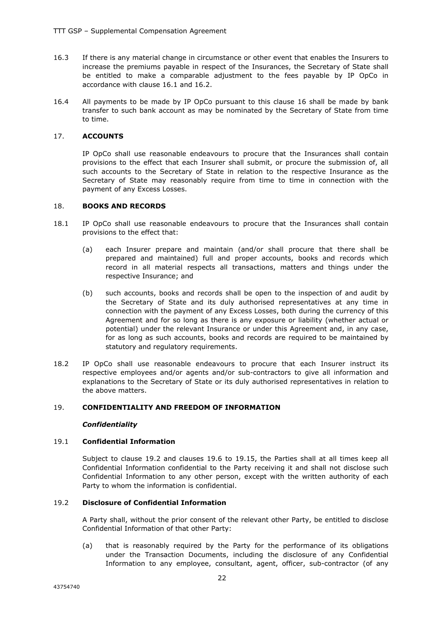- 16.3 If there is any material change in circumstance or other event that enables the Insurers to increase the premiums payable in respect of the Insurances, the Secretary of State shall be entitled to make a comparable adjustment to the fees payable by IP OpCo in accordance with clause 16.1 and 16.2.
- 16.4 All payments to be made by IP OpCo pursuant to this clause 16 shall be made by bank transfer to such bank account as may be nominated by the Secretary of State from time to time.

#### 17. **ACCOUNTS**

IP OpCo shall use reasonable endeavours to procure that the Insurances shall contain provisions to the effect that each Insurer shall submit, or procure the submission of, all such accounts to the Secretary of State in relation to the respective Insurance as the Secretary of State may reasonably require from time to time in connection with the payment of any Excess Losses.

#### 18. **BOOKS AND RECORDS**

- 18.1 IP OpCo shall use reasonable endeavours to procure that the Insurances shall contain provisions to the effect that:
	- (a) each Insurer prepare and maintain (and/or shall procure that there shall be prepared and maintained) full and proper accounts, books and records which record in all material respects all transactions, matters and things under the respective Insurance; and
	- (b) such accounts, books and records shall be open to the inspection of and audit by the Secretary of State and its duly authorised representatives at any time in connection with the payment of any Excess Losses, both during the currency of this Agreement and for so long as there is any exposure or liability (whether actual or potential) under the relevant Insurance or under this Agreement and, in any case, for as long as such accounts, books and records are required to be maintained by statutory and regulatory requirements.
- 18.2 IP OpCo shall use reasonable endeavours to procure that each Insurer instruct its respective employees and/or agents and/or sub-contractors to give all information and explanations to the Secretary of State or its duly authorised representatives in relation to the above matters.

#### 19. **CONFIDENTIALITY AND FREEDOM OF INFORMATION**

#### *Confidentiality*

#### 19.1 **Confidential Information**

Subject to clause 19.2 and clauses 19.6 to 19.15, the Parties shall at all times keep all Confidential Information confidential to the Party receiving it and shall not disclose such Confidential Information to any other person, except with the written authority of each Party to whom the information is confidential.

#### 19.2 **Disclosure of Confidential Information**

A Party shall, without the prior consent of the relevant other Party, be entitled to disclose Confidential Information of that other Party:

(a) that is reasonably required by the Party for the performance of its obligations under the Transaction Documents, including the disclosure of any Confidential Information to any employee, consultant, agent, officer, sub-contractor (of any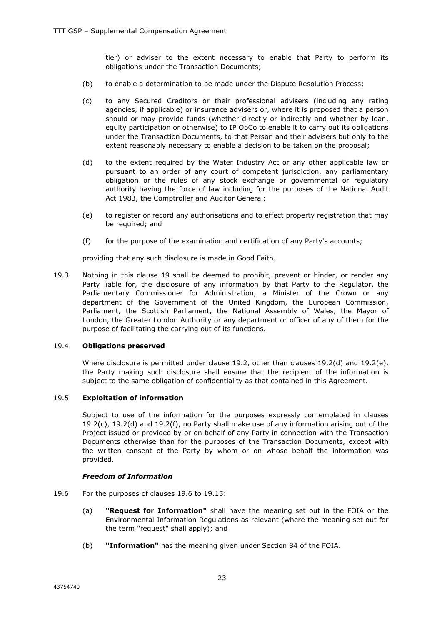tier) or adviser to the extent necessary to enable that Party to perform its obligations under the Transaction Documents;

- (b) to enable a determination to be made under the Dispute Resolution Process;
- (c) to any Secured Creditors or their professional advisers (including any rating agencies, if applicable) or insurance advisers or, where it is proposed that a person should or may provide funds (whether directly or indirectly and whether by loan, equity participation or otherwise) to IP OpCo to enable it to carry out its obligations under the Transaction Documents, to that Person and their advisers but only to the extent reasonably necessary to enable a decision to be taken on the proposal;
- (d) to the extent required by the Water Industry Act or any other applicable law or pursuant to an order of any court of competent jurisdiction, any parliamentary obligation or the rules of any stock exchange or governmental or regulatory authority having the force of law including for the purposes of the National Audit Act 1983, the Comptroller and Auditor General;
- (e) to register or record any authorisations and to effect property registration that may be required; and
- (f) for the purpose of the examination and certification of any Party's accounts;

providing that any such disclosure is made in Good Faith.

19.3 Nothing in this clause 19 shall be deemed to prohibit, prevent or hinder, or render any Party liable for, the disclosure of any information by that Party to the Regulator, the Parliamentary Commissioner for Administration, a Minister of the Crown or any department of the Government of the United Kingdom, the European Commission, Parliament, the Scottish Parliament, the National Assembly of Wales, the Mayor of London, the Greater London Authority or any department or officer of any of them for the purpose of facilitating the carrying out of its functions.

#### 19.4 **Obligations preserved**

Where disclosure is permitted under clause 19.2, other than clauses 19.2(d) and 19.2(e), the Party making such disclosure shall ensure that the recipient of the information is subject to the same obligation of confidentiality as that contained in this Agreement.

#### 19.5 **Exploitation of information**

Subject to use of the information for the purposes expressly contemplated in clauses  $19.2(c)$ ,  $19.2(d)$  and  $19.2(f)$ , no Party shall make use of any information arising out of the Project issued or provided by or on behalf of any Party in connection with the Transaction Documents otherwise than for the purposes of the Transaction Documents, except with the written consent of the Party by whom or on whose behalf the information was provided.

#### *Freedom of Information*

- 19.6 For the purposes of clauses 19.6 to 19.15:
	- (a) **"Request for Information"** shall have the meaning set out in the FOIA or the Environmental Information Regulations as relevant (where the meaning set out for the term "request" shall apply); and
	- (b) **"Information"** has the meaning given under Section 84 of the FOIA.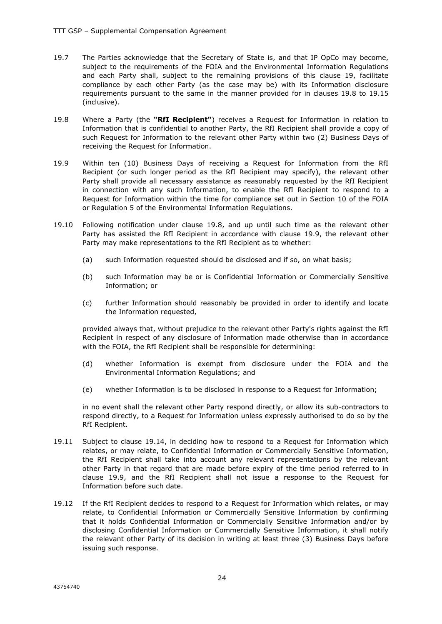- 19.7 The Parties acknowledge that the Secretary of State is, and that IP OpCo may become, subject to the requirements of the FOIA and the Environmental Information Regulations and each Party shall, subject to the remaining provisions of this clause 19, facilitate compliance by each other Party (as the case may be) with its Information disclosure requirements pursuant to the same in the manner provided for in clauses 19.8 to 19.15 (inclusive).
- 19.8 Where a Party (the **"RfI Recipient"**) receives a Request for Information in relation to Information that is confidential to another Party, the RfI Recipient shall provide a copy of such Request for Information to the relevant other Party within two (2) Business Days of receiving the Request for Information.
- 19.9 Within ten (10) Business Days of receiving a Request for Information from the RfI Recipient (or such longer period as the RfI Recipient may specify), the relevant other Party shall provide all necessary assistance as reasonably requested by the RfI Recipient in connection with any such Information, to enable the RfI Recipient to respond to a Request for Information within the time for compliance set out in Section 10 of the FOIA or Regulation 5 of the Environmental Information Regulations.
- 19.10 Following notification under clause 19.8, and up until such time as the relevant other Party has assisted the RfI Recipient in accordance with clause 19.9, the relevant other Party may make representations to the RfI Recipient as to whether:
	- (a) such Information requested should be disclosed and if so, on what basis;
	- (b) such Information may be or is Confidential Information or Commercially Sensitive Information; or
	- (c) further Information should reasonably be provided in order to identify and locate the Information requested,

provided always that, without prejudice to the relevant other Party's rights against the RfI Recipient in respect of any disclosure of Information made otherwise than in accordance with the FOIA, the RfI Recipient shall be responsible for determining:

- (d) whether Information is exempt from disclosure under the FOIA and the Environmental Information Regulations; and
- (e) whether Information is to be disclosed in response to a Request for Information;

in no event shall the relevant other Party respond directly, or allow its sub-contractors to respond directly, to a Request for Information unless expressly authorised to do so by the RfI Recipient.

- 19.11 Subject to clause 19.14, in deciding how to respond to a Request for Information which relates, or may relate, to Confidential Information or Commercially Sensitive Information, the RfI Recipient shall take into account any relevant representations by the relevant other Party in that regard that are made before expiry of the time period referred to in clause 19.9, and the RfI Recipient shall not issue a response to the Request for Information before such date.
- 19.12 If the RfI Recipient decides to respond to a Request for Information which relates, or may relate, to Confidential Information or Commercially Sensitive Information by confirming that it holds Confidential Information or Commercially Sensitive Information and/or by disclosing Confidential Information or Commercially Sensitive Information, it shall notify the relevant other Party of its decision in writing at least three (3) Business Days before issuing such response.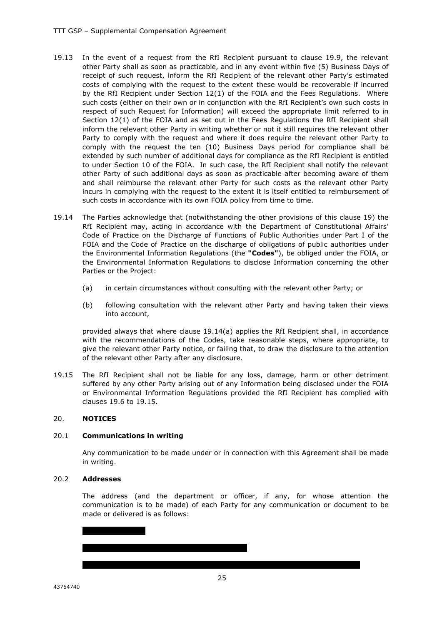- 19.13 In the event of a request from the RfI Recipient pursuant to clause 19.9, the relevant other Party shall as soon as practicable, and in any event within five (5) Business Days of receipt of such request, inform the RfI Recipient of the relevant other Party's estimated costs of complying with the request to the extent these would be recoverable if incurred by the RfI Recipient under Section 12(1) of the FOIA and the Fees Regulations. Where such costs (either on their own or in conjunction with the RfI Recipient's own such costs in respect of such Request for Information) will exceed the appropriate limit referred to in Section 12(1) of the FOIA and as set out in the Fees Regulations the RfI Recipient shall inform the relevant other Party in writing whether or not it still requires the relevant other Party to comply with the request and where it does require the relevant other Party to comply with the request the ten (10) Business Days period for compliance shall be extended by such number of additional days for compliance as the RfI Recipient is entitled to under Section 10 of the FOIA. In such case, the RfI Recipient shall notify the relevant other Party of such additional days as soon as practicable after becoming aware of them and shall reimburse the relevant other Party for such costs as the relevant other Party incurs in complying with the request to the extent it is itself entitled to reimbursement of such costs in accordance with its own FOIA policy from time to time.
- 19.14 The Parties acknowledge that (notwithstanding the other provisions of this clause 19) the RfI Recipient may, acting in accordance with the Department of Constitutional Affairs' Code of Practice on the Discharge of Functions of Public Authorities under Part I of the FOIA and the Code of Practice on the discharge of obligations of public authorities under the Environmental Information Regulations (the **"Codes"**), be obliged under the FOIA, or the Environmental Information Regulations to disclose Information concerning the other Parties or the Project:
	- (a) in certain circumstances without consulting with the relevant other Party; or
	- (b) following consultation with the relevant other Party and having taken their views into account,

provided always that where clause 19.14(a) applies the RfI Recipient shall, in accordance with the recommendations of the Codes, take reasonable steps, where appropriate, to give the relevant other Party notice, or failing that, to draw the disclosure to the attention of the relevant other Party after any disclosure.

19.15 The RfI Recipient shall not be liable for any loss, damage, harm or other detriment suffered by any other Party arising out of any Information being disclosed under the FOIA or Environmental Information Regulations provided the RfI Recipient has complied with clauses 19.6 to 19.15.

#### 20. **NOTICES**

#### 20.1 **Communications in writing**

Any communication to be made under or in connection with this Agreement shall be made in writing.

#### 20.2 **Addresses**

43754740

The address (and the department or officer, if any, for whose attention the communication is to be made) of each Party for any communication or document to be made or delivered is as follows: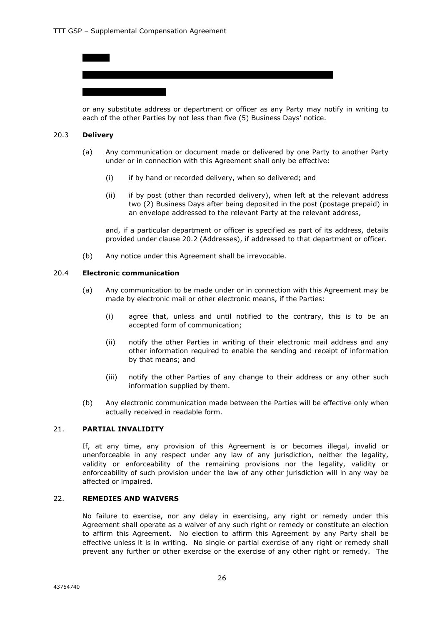or any substitute address or department or officer as any Party may notify in writing to each of the other Parties by not less than five (5) Business Days' notice.

#### 20.3 **Delivery**

- (a) Any communication or document made or delivered by one Party to another Party under or in connection with this Agreement shall only be effective:
	- (i) if by hand or recorded delivery, when so delivered; and
	- (ii) if by post (other than recorded delivery), when left at the relevant address two (2) Business Days after being deposited in the post (postage prepaid) in an envelope addressed to the relevant Party at the relevant address,

and, if a particular department or officer is specified as part of its address, details provided under clause 20.2 (Addresses), if addressed to that department or officer.

(b) Any notice under this Agreement shall be irrevocable.

#### 20.4 **Electronic communication**

- (a) Any communication to be made under or in connection with this Agreement may be made by electronic mail or other electronic means, if the Parties:
	- (i) agree that, unless and until notified to the contrary, this is to be an accepted form of communication;
	- (ii) notify the other Parties in writing of their electronic mail address and any other information required to enable the sending and receipt of information by that means; and
	- (iii) notify the other Parties of any change to their address or any other such information supplied by them.
- (b) Any electronic communication made between the Parties will be effective only when actually received in readable form.

#### 21. **PARTIAL INVALIDITY**

If, at any time, any provision of this Agreement is or becomes illegal, invalid or unenforceable in any respect under any law of any jurisdiction, neither the legality, validity or enforceability of the remaining provisions nor the legality, validity or enforceability of such provision under the law of any other jurisdiction will in any way be affected or impaired.

#### 22. **REMEDIES AND WAIVERS**

No failure to exercise, nor any delay in exercising, any right or remedy under this Agreement shall operate as a waiver of any such right or remedy or constitute an election to affirm this Agreement. No election to affirm this Agreement by any Party shall be effective unless it is in writing. No single or partial exercise of any right or remedy shall prevent any further or other exercise or the exercise of any other right or remedy. The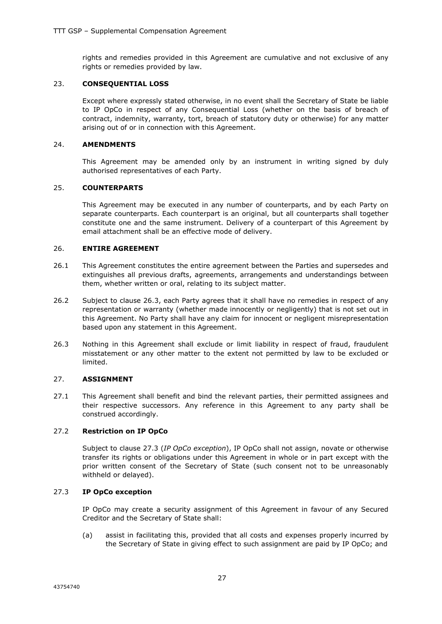rights and remedies provided in this Agreement are cumulative and not exclusive of any rights or remedies provided by law.

#### 23. **CONSEQUENTIAL LOSS**

Except where expressly stated otherwise, in no event shall the Secretary of State be liable to IP OpCo in respect of any Consequential Loss (whether on the basis of breach of contract, indemnity, warranty, tort, breach of statutory duty or otherwise) for any matter arising out of or in connection with this Agreement.

#### 24. **AMENDMENTS**

This Agreement may be amended only by an instrument in writing signed by duly authorised representatives of each Party.

#### 25. **COUNTERPARTS**

This Agreement may be executed in any number of counterparts, and by each Party on separate counterparts. Each counterpart is an original, but all counterparts shall together constitute one and the same instrument. Delivery of a counterpart of this Agreement by email attachment shall be an effective mode of delivery.

#### 26. **ENTIRE AGREEMENT**

- 26.1 This Agreement constitutes the entire agreement between the Parties and supersedes and extinguishes all previous drafts, agreements, arrangements and understandings between them, whether written or oral, relating to its subject matter.
- 26.2 Subject to clause 26.3, each Party agrees that it shall have no remedies in respect of any representation or warranty (whether made innocently or negligently) that is not set out in this Agreement. No Party shall have any claim for innocent or negligent misrepresentation based upon any statement in this Agreement.
- 26.3 Nothing in this Agreement shall exclude or limit liability in respect of fraud, fraudulent misstatement or any other matter to the extent not permitted by law to be excluded or limited.

#### 27. **ASSIGNMENT**

27.1 This Agreement shall benefit and bind the relevant parties, their permitted assignees and their respective successors. Any reference in this Agreement to any party shall be construed accordingly.

#### 27.2 **Restriction on IP OpCo**

Subject to clause 27.3 (*IP OpCo exception*), IP OpCo shall not assign, novate or otherwise transfer its rights or obligations under this Agreement in whole or in part except with the prior written consent of the Secretary of State (such consent not to be unreasonably withheld or delayed).

#### 27.3 **IP OpCo exception**

IP OpCo may create a security assignment of this Agreement in favour of any Secured Creditor and the Secretary of State shall:

(a) assist in facilitating this, provided that all costs and expenses properly incurred by the Secretary of State in giving effect to such assignment are paid by IP OpCo; and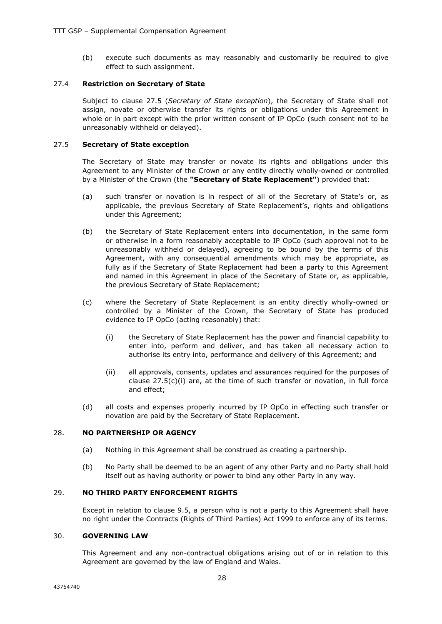(b) execute such documents as may reasonably and customarily be required to give effect to such assignment.

#### 27.4 **Restriction on Secretary of State**

Subject to clause 27.5 (*Secretary of State exception*), the Secretary of State shall not assign, novate or otherwise transfer its rights or obligations under this Agreement in whole or in part except with the prior written consent of IP OpCo (such consent not to be unreasonably withheld or delayed).

#### 27.5 **Secretary of State exception**

The Secretary of State may transfer or novate its rights and obligations under this Agreement to any Minister of the Crown or any entity directly wholly-owned or controlled by a Minister of the Crown (the **"Secretary of State Replacement"**) provided that:

- (a) such transfer or novation is in respect of all of the Secretary of State's or, as applicable, the previous Secretary of State Replacement's, rights and obligations under this Agreement;
- (b) the Secretary of State Replacement enters into documentation, in the same form or otherwise in a form reasonably acceptable to IP OpCo (such approval not to be unreasonably withheld or delayed), agreeing to be bound by the terms of this Agreement, with any consequential amendments which may be appropriate, as fully as if the Secretary of State Replacement had been a party to this Agreement and named in this Agreement in place of the Secretary of State or, as applicable, the previous Secretary of State Replacement;
- (c) where the Secretary of State Replacement is an entity directly wholly-owned or controlled by a Minister of the Crown, the Secretary of State has produced evidence to IP OpCo (acting reasonably) that:
	- (i) the Secretary of State Replacement has the power and financial capability to enter into, perform and deliver, and has taken all necessary action to authorise its entry into, performance and delivery of this Agreement; and
	- (ii) all approvals, consents, updates and assurances required for the purposes of clause  $27.5(c)(i)$  are, at the time of such transfer or novation, in full force and effect;
- (d) all costs and expenses properly incurred by IP OpCo in effecting such transfer or novation are paid by the Secretary of State Replacement.

#### 28. **NO PARTNERSHIP OR AGENCY**

- (a) Nothing in this Agreement shall be construed as creating a partnership.
- (b) No Party shall be deemed to be an agent of any other Party and no Party shall hold itself out as having authority or power to bind any other Party in any way.

#### 29. **NO THIRD PARTY ENFORCEMENT RIGHTS**

Except in relation to clause 9.5, a person who is not a party to this Agreement shall have no right under the Contracts (Rights of Third Parties) Act 1999 to enforce any of its terms.

#### 30. **GOVERNING LAW**

This Agreement and any non-contractual obligations arising out of or in relation to this Agreement are governed by the law of England and Wales.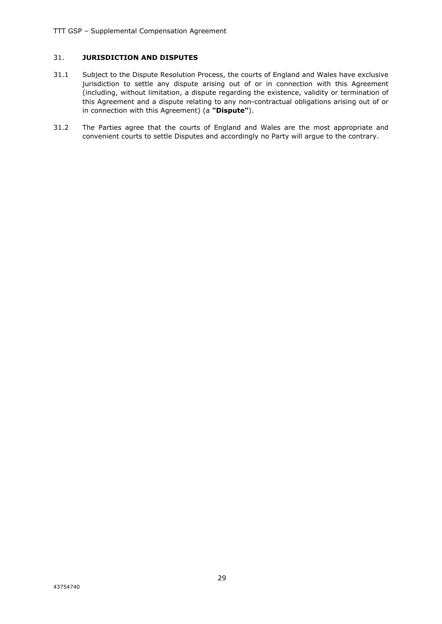#### 31. **JURISDICTION AND DISPUTES**

- 31.1 Subject to the Dispute Resolution Process, the courts of England and Wales have exclusive jurisdiction to settle any dispute arising out of or in connection with this Agreement (including, without limitation, a dispute regarding the existence, validity or termination of this Agreement and a dispute relating to any non-contractual obligations arising out of or in connection with this Agreement) (a **"Dispute"**).
- 31.2 The Parties agree that the courts of England and Wales are the most appropriate and convenient courts to settle Disputes and accordingly no Party will argue to the contrary.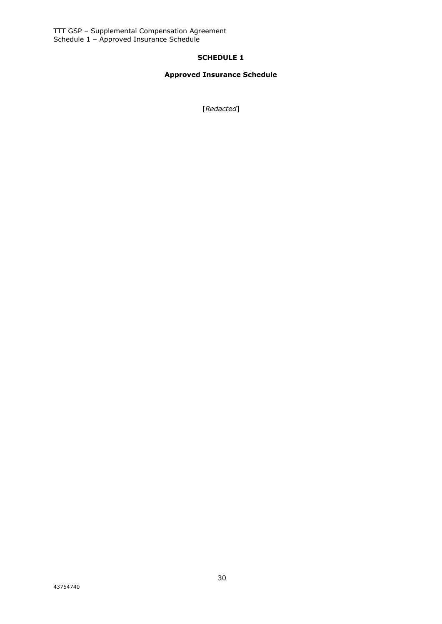#### **SCHEDULE 1**

### **Approved Insurance Schedule**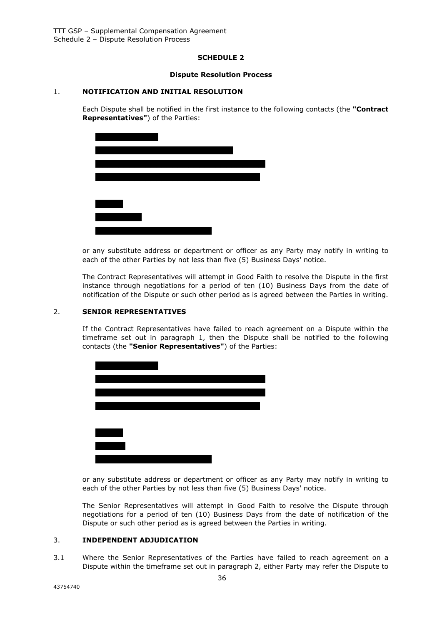#### **SCHEDULE 2**

#### **Dispute Resolution Process**

#### 1. **NOTIFICATION AND INITIAL RESOLUTION**

Each Dispute shall be notified in the first instance to the following contacts (the **"Contract Representatives"**) of the Parties:



or any substitute address or department or officer as any Party may notify in writing to each of the other Parties by not less than five (5) Business Days' notice.

The Contract Representatives will attempt in Good Faith to resolve the Dispute in the first instance through negotiations for a period of ten (10) Business Days from the date of notification of the Dispute or such other period as is agreed between the Parties in writing.

#### 2. **SENIOR REPRESENTATIVES**

If the Contract Representatives have failed to reach agreement on a Dispute within the timeframe set out in paragraph 1, then the Dispute shall be notified to the following contacts (the **"Senior Representatives"**) of the Parties:



or any substitute address or department or officer as any Party may notify in writing to each of the other Parties by not less than five (5) Business Days' notice.

The Senior Representatives will attempt in Good Faith to resolve the Dispute through negotiations for a period of ten (10) Business Days from the date of notification of the Dispute or such other period as is agreed between the Parties in writing.

#### 3. **INDEPENDENT ADJUDICATION**

3.1 Where the Senior Representatives of the Parties have failed to reach agreement on a Dispute within the timeframe set out in paragraph 2, either Party may refer the Dispute to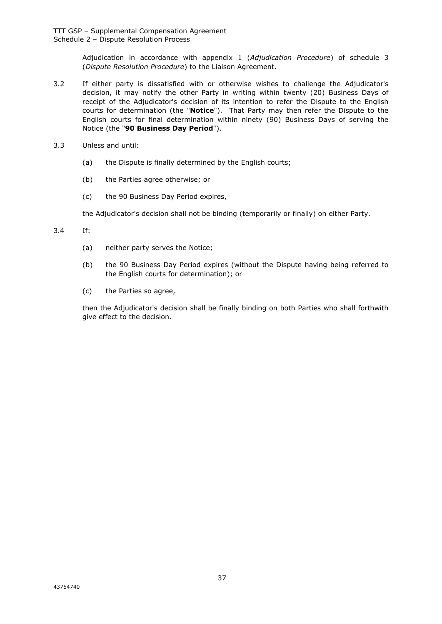Adjudication in accordance with appendix 1 (*Adjudication Procedure*) of schedule 3 (*Dispute Resolution Procedure*) to the Liaison Agreement.

- 3.2 If either party is dissatisfied with or otherwise wishes to challenge the Adjudicator's decision, it may notify the other Party in writing within twenty (20) Business Days of receipt of the Adjudicator's decision of its intention to refer the Dispute to the English courts for determination (the "**Notice**"). That Party may then refer the Dispute to the English courts for final determination within ninety (90) Business Days of serving the Notice (the "**90 Business Day Period**").
- 3.3 Unless and until:
	- (a) the Dispute is finally determined by the English courts;
	- (b) the Parties agree otherwise; or
	- (c) the 90 Business Day Period expires,

the Adjudicator's decision shall not be binding (temporarily or finally) on either Party.

3.4 If:

- (a) neither party serves the Notice;
- (b) the 90 Business Day Period expires (without the Dispute having being referred to the English courts for determination); or
- (c) the Parties so agree,

then the Adjudicator's decision shall be finally binding on both Parties who shall forthwith give effect to the decision.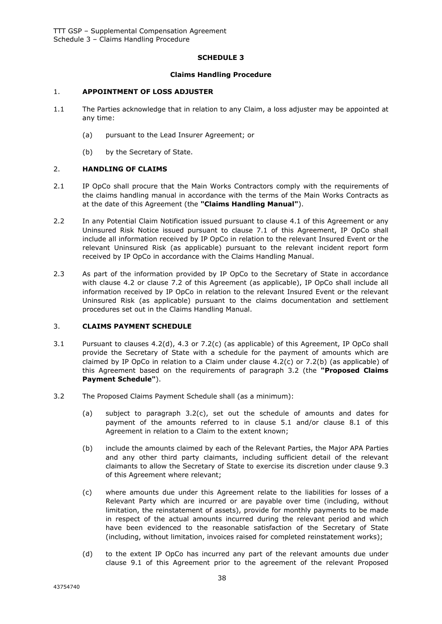#### **SCHEDULE 3**

#### **Claims Handling Procedure**

#### 1. **APPOINTMENT OF LOSS ADJUSTER**

- 1.1 The Parties acknowledge that in relation to any Claim, a loss adjuster may be appointed at any time:
	- (a) pursuant to the Lead Insurer Agreement; or
	- (b) by the Secretary of State.

#### 2. **HANDLING OF CLAIMS**

- 2.1 IP OpCo shall procure that the Main Works Contractors comply with the requirements of the claims handling manual in accordance with the terms of the Main Works Contracts as at the date of this Agreement (the **"Claims Handling Manual"**).
- 2.2 In any Potential Claim Notification issued pursuant to clause 4.1 of this Agreement or any Uninsured Risk Notice issued pursuant to clause 7.1 of this Agreement, IP OpCo shall include all information received by IP OpCo in relation to the relevant Insured Event or the relevant Uninsured Risk (as applicable) pursuant to the relevant incident report form received by IP OpCo in accordance with the Claims Handling Manual.
- 2.3 As part of the information provided by IP OpCo to the Secretary of State in accordance with clause 4.2 or clause 7.2 of this Agreement (as applicable), IP OpCo shall include all information received by IP OpCo in relation to the relevant Insured Event or the relevant Uninsured Risk (as applicable) pursuant to the claims documentation and settlement procedures set out in the Claims Handling Manual.

#### 3. **CLAIMS PAYMENT SCHEDULE**

- 3.1 Pursuant to clauses 4.2(d), 4.3 or 7.2(c) (as applicable) of this Agreement, IP OpCo shall provide the Secretary of State with a schedule for the payment of amounts which are claimed by IP OpCo in relation to a Claim under clause  $4.2(c)$  or  $7.2(b)$  (as applicable) of this Agreement based on the requirements of paragraph 3.2 (the **"Proposed Claims Payment Schedule"**).
- 3.2 The Proposed Claims Payment Schedule shall (as a minimum):
	- (a) subject to paragraph 3.2(c), set out the schedule of amounts and dates for payment of the amounts referred to in clause 5.1 and/or clause 8.1 of this Agreement in relation to a Claim to the extent known;
	- (b) include the amounts claimed by each of the Relevant Parties, the Major APA Parties and any other third party claimants, including sufficient detail of the relevant claimants to allow the Secretary of State to exercise its discretion under clause 9.3 of this Agreement where relevant;
	- (c) where amounts due under this Agreement relate to the liabilities for losses of a Relevant Party which are incurred or are payable over time (including, without limitation, the reinstatement of assets), provide for monthly payments to be made in respect of the actual amounts incurred during the relevant period and which have been evidenced to the reasonable satisfaction of the Secretary of State (including, without limitation, invoices raised for completed reinstatement works);
	- (d) to the extent IP OpCo has incurred any part of the relevant amounts due under clause 9.1 of this Agreement prior to the agreement of the relevant Proposed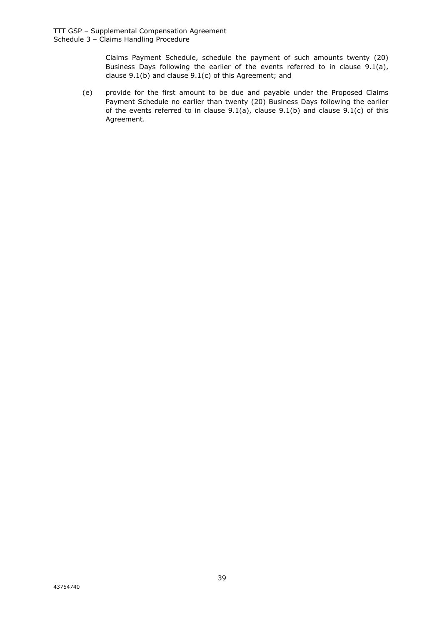Claims Payment Schedule, schedule the payment of such amounts twenty (20) Business Days following the earlier of the events referred to in clause 9.1(a), clause 9.1(b) and clause 9.1(c) of this Agreement; and

(e) provide for the first amount to be due and payable under the Proposed Claims Payment Schedule no earlier than twenty (20) Business Days following the earlier of the events referred to in clause  $9.1(a)$ , clause  $9.1(b)$  and clause  $9.1(c)$  of this Agreement.